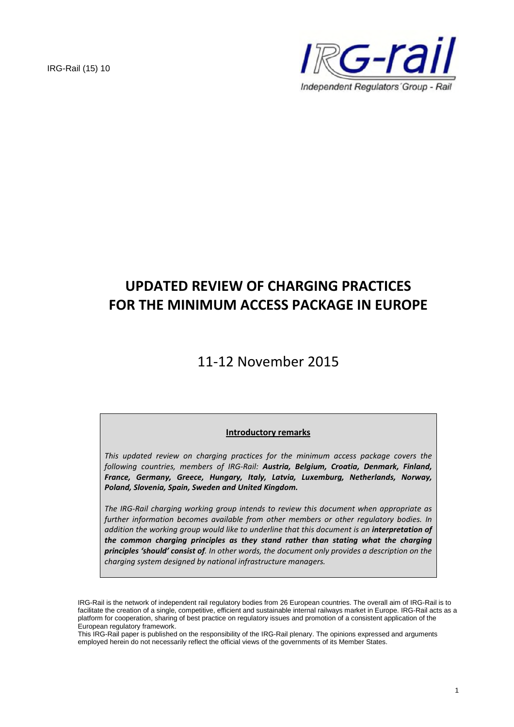

# **UPDATED REVIEW OF CHARGING PRACTICES FOR THE MINIMUM ACCESS PACKAGE IN EUROPE**

# 11-12 November 2015

## **Introductory remarks**

*This updated review on charging practices for the minimum access package covers the following countries, members of IRG-Rail: Austria, Belgium, Croatia, Denmark, Finland, France, Germany, Greece, Hungary, Italy, Latvia, Luxemburg, Netherlands, Norway, Poland, Slovenia, Spain, Sweden and United Kingdom.*

*The IRG-Rail charging working group intends to review this document when appropriate as further information becomes available from other members or other regulatory bodies. In addition the working group would like to underline that this document is an interpretation of the common charging principles as they stand rather than stating what the charging principles 'should' consist of. In other words, the document only provides a description on the charging system designed by national infrastructure managers.*

This IRG-Rail paper is published on the responsibility of the IRG-Rail plenary. The opinions expressed and arguments employed herein do not necessarily reflect the official views of the governments of its Member States.

IRG-Rail is the network of independent rail regulatory bodies from 26 European countries. The overall aim of IRG-Rail is to facilitate the creation of a single, competitive, efficient and sustainable internal railways market in Europe. IRG-Rail acts as a platform for cooperation, sharing of best practice on regulatory issues and promotion of a consistent application of the European regulatory framework.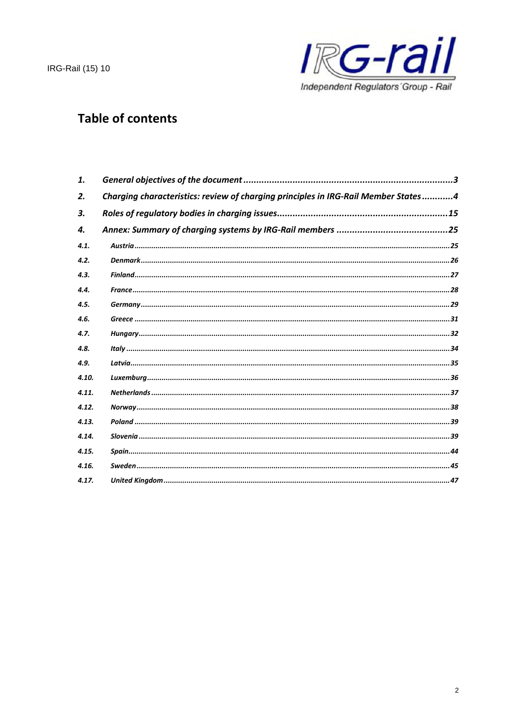

## **Table of contents**

| 1.    |                                                                                    |
|-------|------------------------------------------------------------------------------------|
| 2.    | Charging characteristics: review of charging principles in IRG-Rail Member States4 |
| 3.    |                                                                                    |
| 4.    |                                                                                    |
| 4.1.  |                                                                                    |
| 4.2.  |                                                                                    |
| 4.3.  |                                                                                    |
| 4.4.  |                                                                                    |
| 4.5.  |                                                                                    |
| 4.6.  |                                                                                    |
| 4.7.  |                                                                                    |
| 4.8.  |                                                                                    |
| 4.9.  |                                                                                    |
| 4.10. |                                                                                    |
| 4.11. |                                                                                    |
| 4.12. |                                                                                    |
| 4.13. |                                                                                    |
| 4.14. |                                                                                    |
| 4.15. |                                                                                    |
| 4.16. |                                                                                    |
| 4.17. |                                                                                    |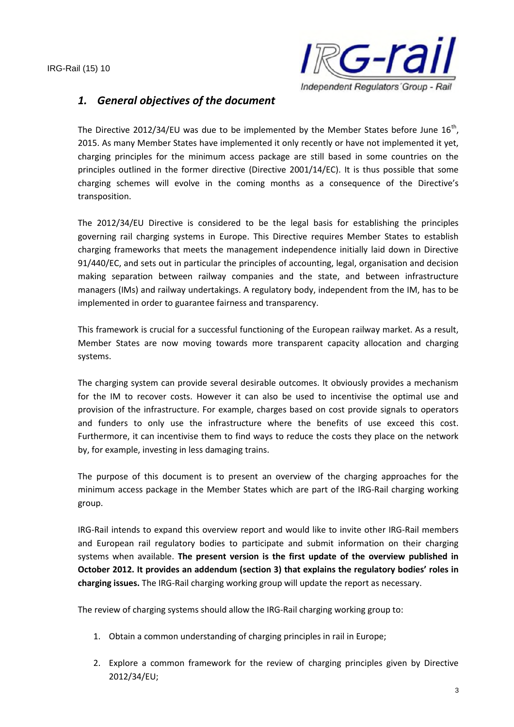

## *1. General objectives of the document*

The Directive 2012/34/EU was due to be implemented by the Member States before June  $16^{th}$ , 2015. As many Member States have implemented it only recently or have not implemented it yet, charging principles for the minimum access package are still based in some countries on the principles outlined in the former directive (Directive 2001/14/EC). It is thus possible that some charging schemes will evolve in the coming months as a consequence of the Directive's transposition.

The 2012/34/EU Directive is considered to be the legal basis for establishing the principles governing rail charging systems in Europe. This Directive requires Member States to establish charging frameworks that meets the management independence initially laid down in Directive 91/440/EC, and sets out in particular the principles of accounting, legal, organisation and decision making separation between railway companies and the state, and between infrastructure managers (IMs) and railway undertakings. A regulatory body, independent from the IM, has to be implemented in order to guarantee fairness and transparency.

This framework is crucial for a successful functioning of the European railway market. As a result, Member States are now moving towards more transparent capacity allocation and charging systems.

The charging system can provide several desirable outcomes. It obviously provides a mechanism for the IM to recover costs. However it can also be used to incentivise the optimal use and provision of the infrastructure. For example, charges based on cost provide signals to operators and funders to only use the infrastructure where the benefits of use exceed this cost. Furthermore, it can incentivise them to find ways to reduce the costs they place on the network by, for example, investing in less damaging trains.

The purpose of this document is to present an overview of the charging approaches for the minimum access package in the Member States which are part of the IRG-Rail charging working group.

IRG-Rail intends to expand this overview report and would like to invite other IRG-Rail members and European rail regulatory bodies to participate and submit information on their charging systems when available. **The present version is the first update of the overview published in October 2012. It provides an addendum (section 3) that explains the regulatory bodies' roles in charging issues.** The IRG-Rail charging working group will update the report as necessary.

The review of charging systems should allow the IRG-Rail charging working group to:

- 1. Obtain a common understanding of charging principles in rail in Europe;
- 2. Explore a common framework for the review of charging principles given by Directive 2012/34/EU;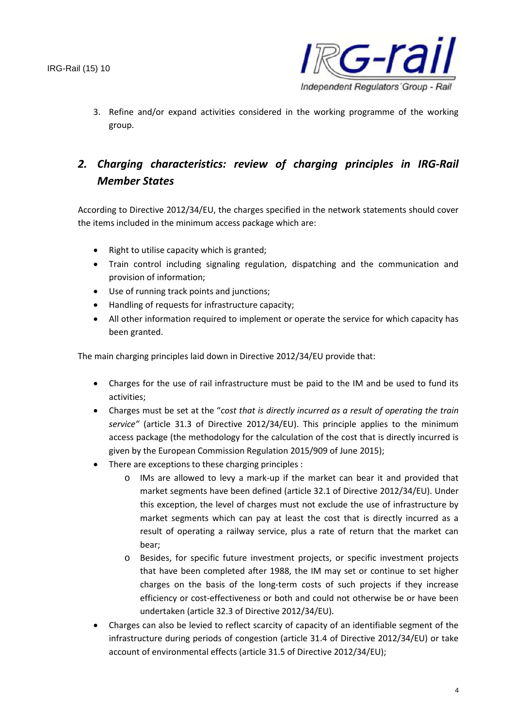

3. Refine and/or expand activities considered in the working programme of the working group.

## *2. Charging characteristics: review of charging principles in IRG-Rail Member States*

According to Directive 2012/34/EU, the charges specified in the network statements should cover the items included in the minimum access package which are:

- Right to utilise capacity which is granted;
- Train control including signaling regulation, dispatching and the communication and provision of information;
- Use of running track points and junctions;
- Handling of requests for infrastructure capacity;
- All other information required to implement or operate the service for which capacity has been granted.

The main charging principles laid down in Directive 2012/34/EU provide that:

- Charges for the use of rail infrastructure must be paid to the IM and be used to fund its activities;
- Charges must be set at the "*cost that is directly incurred as a result of operating the train service"* (article 31.3 of Directive 2012/34/EU). This principle applies to the minimum access package (the methodology for the calculation of the cost that is directly incurred is given by the European Commission Regulation 2015/909 of June 2015);
- There are exceptions to these charging principles :
	- o IMs are allowed to levy a mark-up if the market can bear it and provided that market segments have been defined (article 32.1 of Directive 2012/34/EU). Under this exception, the level of charges must not exclude the use of infrastructure by market segments which can pay at least the cost that is directly incurred as a result of operating a railway service, plus a rate of return that the market can bear;
	- o Besides, for specific future investment projects, or specific investment projects that have been completed after 1988, the IM may set or continue to set higher charges on the basis of the long-term costs of such projects if they increase efficiency or cost-effectiveness or both and could not otherwise be or have been undertaken (article 32.3 of Directive 2012/34/EU).
- Charges can also be levied to reflect scarcity of capacity of an identifiable segment of the infrastructure during periods of congestion (article 31.4 of Directive 2012/34/EU) or take account of environmental effects (article 31.5 of Directive 2012/34/EU);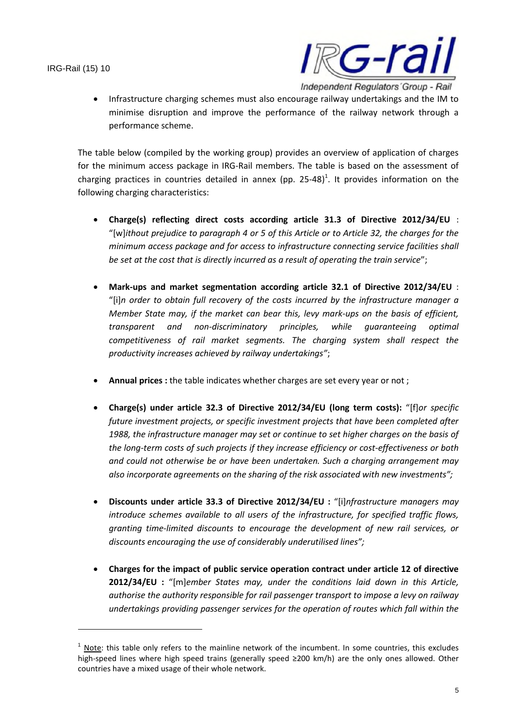

 Infrastructure charging schemes must also encourage railway undertakings and the IM to minimise disruption and improve the performance of the railway network through a performance scheme.

The table below (compiled by the working group) provides an overview of application of charges for the minimum access package in IRG-Rail members. The table is based on the assessment of charging practices in countries detailed in annex (pp. 25-48)<sup>1</sup>. It provides information on the following charging characteristics:

- **Charge(s) reflecting direct costs according article 31.3 of Directive 2012/34/EU** : "[w]*ithout prejudice to paragraph 4 or 5 of this Article or to Article 32, the charges for the minimum access package and for access to infrastructure connecting service facilities shall be set at the cost that is directly incurred as a result of operating the train service*";
- **Mark-ups and market segmentation according article 32.1 of Directive 2012/34/EU** : "[i]*n order to obtain full recovery of the costs incurred by the infrastructure manager a Member State may, if the market can bear this, levy mark-ups on the basis of efficient, transparent and non-discriminatory principles, while guaranteeing optimal competitiveness of rail market segments. The charging system shall respect the productivity increases achieved by railway undertakings"*;
- **Annual prices :** the table indicates whether charges are set every year or not ;
- **Charge(s) under article 32.3 of Directive 2012/34/EU (long term costs):** "[f]*or specific future investment projects, or specific investment projects that have been completed after 1988, the infrastructure manager may set or continue to set higher charges on the basis of the long-term costs of such projects if they increase efficiency or cost-effectiveness or both and could not otherwise be or have been undertaken. Such a charging arrangement may also incorporate agreements on the sharing of the risk associated with new investments";*
- **Discounts under article 33.3 of Directive 2012/34/EU :** "[i]*nfrastructure managers may introduce schemes available to all users of the infrastructure, for specified traffic flows, granting time-limited discounts to encourage the development of new rail services, or discounts encouraging the use of considerably underutilised lines";*
- **Charges for the impact of public service operation contract under article 12 of directive 2012/34/EU :** "[m]*ember States may, under the conditions laid down in this Article, authorise the authority responsible for rail passenger transport to impose a levy on railway undertakings providing passenger services for the operation of routes which fall within the*

 $1$  Note: this table only refers to the mainline network of the incumbent. In some countries, this excludes high-speed lines where high speed trains (generally speed ≥200 km/h) are the only ones allowed. Other countries have a mixed usage of their whole network.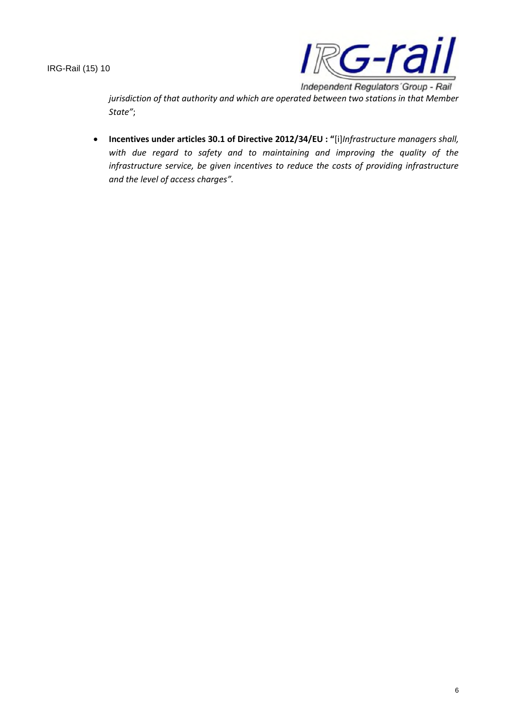

*jurisdiction of that authority and which are operated between two stations in that Member State"*;

 **Incentives under articles 30.1 of Directive 2012/34/EU : "**[i]*Infrastructure managers shall, with due regard to safety and to maintaining and improving the quality of the infrastructure service, be given incentives to reduce the costs of providing infrastructure and the level of access charges".*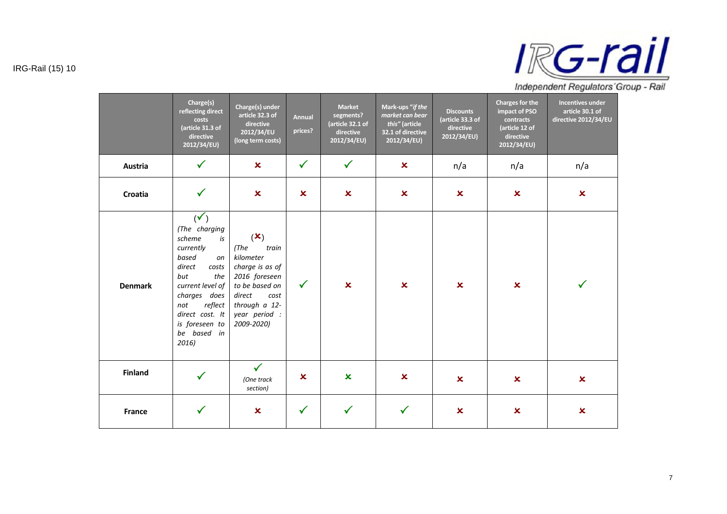

|                | Charge(s)<br>reflecting direct<br>costs<br>(article 31.3 of<br>directive<br>2012/34/EU)                                                                                                                                         | Charge(s) under<br>article 32.3 of<br>directive<br>2012/34/EU<br>(long term costs)                                                                                    | <b>Annual</b><br>prices? | <b>Market</b><br>segments?<br>(article 32.1 of<br>directive<br>2012/34/EU) | Mark-ups "if the<br>market can bear<br>this" (article<br>32.1 of directive<br>2012/34/EU) | <b>Discounts</b><br>(article 33.3 of<br>directive<br>2012/34/EU) | <b>Charges for the</b><br>impact of PSO<br>contracts<br>(article 12 of<br>directive<br>2012/34/EU) | <b>Incentives under</b><br>article 30.1 of<br>directive 2012/34/EU |
|----------------|---------------------------------------------------------------------------------------------------------------------------------------------------------------------------------------------------------------------------------|-----------------------------------------------------------------------------------------------------------------------------------------------------------------------|--------------------------|----------------------------------------------------------------------------|-------------------------------------------------------------------------------------------|------------------------------------------------------------------|----------------------------------------------------------------------------------------------------|--------------------------------------------------------------------|
| Austria        | $\checkmark$                                                                                                                                                                                                                    | $\mathbf x$                                                                                                                                                           | $\checkmark$             | $\checkmark$                                                               | $\mathbf x$                                                                               | n/a                                                              | n/a                                                                                                | n/a                                                                |
| Croatia        | $\checkmark$                                                                                                                                                                                                                    | $\boldsymbol{\mathsf{x}}$                                                                                                                                             | $\mathbf x$              | $\infty$                                                                   | $\boldsymbol{\mathsf{x}}$                                                                 | $\boldsymbol{\mathsf{x}}$                                        | $\pmb{\times}$                                                                                     | $\boldsymbol{\mathsf{x}}$                                          |
| <b>Denmark</b> | $(\checkmark)$<br>(The charging<br>scheme<br>is<br>currently<br>based<br>on<br>direct<br>costs<br>but<br>the<br>current level of<br>charges does<br>not<br>reflect<br>direct cost. It<br>is foreseen to<br>be based in<br>2016) | $(\mathbf{x})$<br>(The)<br>train<br>kilometer<br>charge is as of<br>2016 foreseen<br>to be based on<br>direct<br>cost<br>through a 12-<br>year period :<br>2009-2020) | $\checkmark$             | $\infty$                                                                   | $\boldsymbol{\mathsf{x}}$                                                                 | $\boldsymbol{\mathsf{x}}$                                        | $\boldsymbol{\mathsf{x}}$                                                                          | $\checkmark$                                                       |
| <b>Finland</b> | $\checkmark$                                                                                                                                                                                                                    | $\checkmark$<br>(One track<br>section)                                                                                                                                | ×                        | $\mathbf x$                                                                | $\mathbf x$                                                                               | $\boldsymbol{\mathsf{x}}$                                        | $\boldsymbol{\mathsf{x}}$                                                                          | $\overline{\mathbf{x}}$                                            |
| France         | $\checkmark$                                                                                                                                                                                                                    | $\boldsymbol{\mathsf{x}}$                                                                                                                                             | $\checkmark$             | $\checkmark$                                                               | $\checkmark$                                                                              | $\boldsymbol{\mathsf{x}}$                                        | $\pmb{\times}$                                                                                     | $\overline{\mathbf{x}}$                                            |

IRG-Rail (15) 10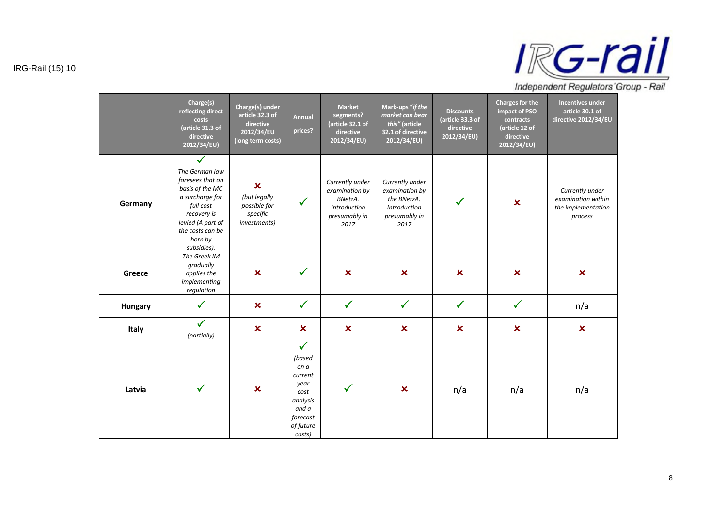

|         | Charge(s)<br>reflecting direct<br>costs<br>(article 31.3 of<br>directive<br>2012/34/EU)                                                                                                 | Charge(s) under<br>article 32.3 of<br>directive<br>2012/34/EU<br>(long term costs)    | <b>Annual</b><br>prices?                                                                                          | <b>Market</b><br>segments?<br>(article 32.1 of<br>directive<br>2012/34/EU)            | Mark-ups "if the<br>market can bear<br>this" (article<br>32.1 of directive<br>2012/34/EU)        | <b>Discounts</b><br>(article 33.3 of<br>directive<br>2012/34/EU) | <b>Charges for the</b><br>impact of PSO<br>contracts<br>(article 12 of<br>directive<br>2012/34/EU) | <b>Incentives under</b><br>article 30.1 of<br>directive 2012/34/EU     |
|---------|-----------------------------------------------------------------------------------------------------------------------------------------------------------------------------------------|---------------------------------------------------------------------------------------|-------------------------------------------------------------------------------------------------------------------|---------------------------------------------------------------------------------------|--------------------------------------------------------------------------------------------------|------------------------------------------------------------------|----------------------------------------------------------------------------------------------------|------------------------------------------------------------------------|
| Germany | $\checkmark$<br>The German law<br>foresees that on<br>basis of the MC<br>a surcharge for<br>full cost<br>recovery is<br>levied (A part of<br>the costs can be<br>born by<br>subsidies). | $\boldsymbol{\mathsf{x}}$<br>(but legally<br>possible for<br>specific<br>investments) | $\checkmark$                                                                                                      | Currently under<br>examination by<br>BNetzA.<br>Introduction<br>presumably in<br>2017 | Currently under<br>examination by<br>the BNetzA.<br><b>Introduction</b><br>presumably in<br>2017 | ✓                                                                | $\pmb{\times}$                                                                                     | Currently under<br>examination within<br>the implementation<br>process |
| Greece  | The Greek IM<br>gradually<br>applies the<br>implementing<br>regulation                                                                                                                  | $\boldsymbol{\mathsf{x}}$                                                             | $\checkmark$                                                                                                      | $\pmb{\times}$                                                                        | $\boldsymbol{\mathsf{x}}$                                                                        | $\boldsymbol{\mathsf{x}}$                                        | $\boldsymbol{\mathsf{x}}$                                                                          | $\boldsymbol{\mathsf{x}}$                                              |
| Hungary | $\checkmark$                                                                                                                                                                            | $\mathbf x$                                                                           | $\checkmark$                                                                                                      | $\checkmark$                                                                          | $\checkmark$                                                                                     | $\checkmark$                                                     | $\checkmark$                                                                                       | n/a                                                                    |
| Italy   | $\checkmark$<br>(partially)                                                                                                                                                             | $\mathbf x$                                                                           | $\boldsymbol{\mathsf{x}}$                                                                                         | $\boldsymbol{\mathsf{x}}$                                                             | $\boldsymbol{\mathsf{x}}$                                                                        | $\boldsymbol{\mathsf{x}}$                                        | $\boldsymbol{\mathsf{x}}$                                                                          | $\boldsymbol{\mathsf{x}}$                                              |
| Latvia  | $\checkmark$                                                                                                                                                                            | $\overline{\mathbf{x}}$                                                               | $\checkmark$<br>(based<br>on a<br>current<br>year<br>cost<br>analysis<br>and a<br>forecast<br>of future<br>costs) | $\checkmark$                                                                          | $\mathbf x$                                                                                      | n/a                                                              | n/a                                                                                                | n/a                                                                    |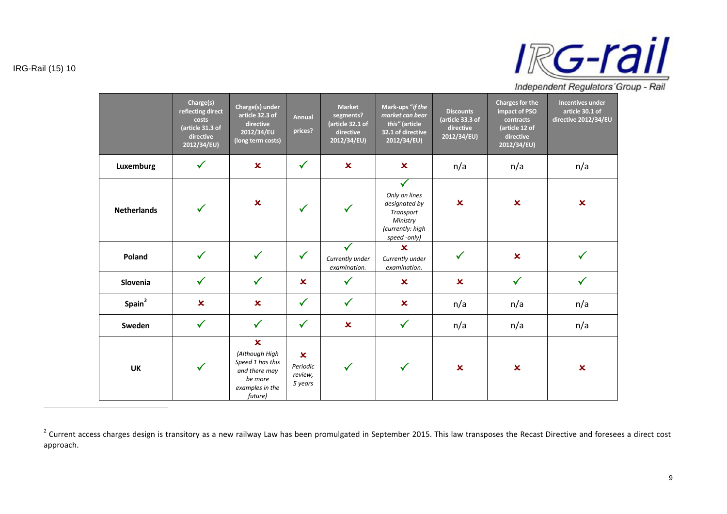

|                    | Charge(s)<br>reflecting direct<br>costs<br>(article 31.3 of<br>directive<br>2012/34/EU) | Charge(s) under<br>article 32.3 of<br>directive<br>2012/34/EU<br>(long term costs)                                        | <b>Annual</b><br>prices?                                    | <b>Market</b><br>segments?<br>(article 32.1 of<br>directive<br>2012/34/EU) | Mark-ups "if the<br>market can bear<br>this" (article<br>32.1 of directive<br>2012/34/EU)                   | <b>Discounts</b><br>(article 33.3 of<br>directive<br>2012/34/EU) | <b>Charges for the</b><br>impact of PSO<br>contracts<br>(article 12 of<br>directive<br>2012/34/EU) | <b>Incentives under</b><br>article 30.1 of<br>directive 2012/34/EU |
|--------------------|-----------------------------------------------------------------------------------------|---------------------------------------------------------------------------------------------------------------------------|-------------------------------------------------------------|----------------------------------------------------------------------------|-------------------------------------------------------------------------------------------------------------|------------------------------------------------------------------|----------------------------------------------------------------------------------------------------|--------------------------------------------------------------------|
| Luxemburg          | $\checkmark$                                                                            | $\overline{\mathbf{x}}$                                                                                                   | $\checkmark$                                                | $\boldsymbol{\mathsf{x}}$                                                  | $\boldsymbol{\mathsf{x}}$                                                                                   | n/a                                                              | n/a                                                                                                | n/a                                                                |
| <b>Netherlands</b> | ✓                                                                                       | $\overline{\mathbf{x}}$                                                                                                   | $\checkmark$                                                | $\checkmark$                                                               | $\checkmark$<br>Only on lines<br>designated by<br>Transport<br>Ministry<br>(currently: high<br>speed -only) | $\boldsymbol{\mathsf{x}}$                                        | $\boldsymbol{\mathsf{x}}$                                                                          | $\boldsymbol{\mathsf{x}}$                                          |
| Poland             | $\checkmark$                                                                            | $\checkmark$                                                                                                              | $\checkmark$                                                | Currently under<br>examination.                                            | $\mathbf x$<br>Currently under<br>examination.                                                              | $\checkmark$                                                     | $\mathbf x$                                                                                        |                                                                    |
| Slovenia           | $\checkmark$                                                                            | $\checkmark$                                                                                                              | $\boldsymbol{\mathsf{x}}$                                   | $\checkmark$                                                               | $\boldsymbol{\mathsf{x}}$                                                                                   | $\boldsymbol{\mathsf{x}}$                                        | $\checkmark$                                                                                       | $\checkmark$                                                       |
| Spain <sup>2</sup> | $\overline{\mathbf{x}}$                                                                 | $\mathbf x$                                                                                                               | $\checkmark$                                                | $\checkmark$                                                               | $\pmb{\times}$                                                                                              | n/a                                                              | n/a                                                                                                | n/a                                                                |
| Sweden             | $\checkmark$                                                                            | $\checkmark$                                                                                                              | $\checkmark$                                                | $\mathbf x$                                                                | $\checkmark$                                                                                                | n/a                                                              | n/a                                                                                                | n/a                                                                |
| <b>UK</b>          | $\checkmark$                                                                            | $\boldsymbol{\mathsf{x}}$<br>(Although High<br>Speed 1 has this<br>and there may<br>be more<br>examples in the<br>future) | $\boldsymbol{\mathsf{x}}$<br>Periodic<br>review,<br>5 years | $\checkmark$                                                               |                                                                                                             | $\overline{\mathbf{x}}$                                          | $\mathbf x$                                                                                        | $\boldsymbol{\mathsf{x}}$                                          |

 $^2$  Current access charges design is transitory as a new railway Law has been promulgated in September 2015. This law transposes the Recast Directive and foresees a direct cost approach.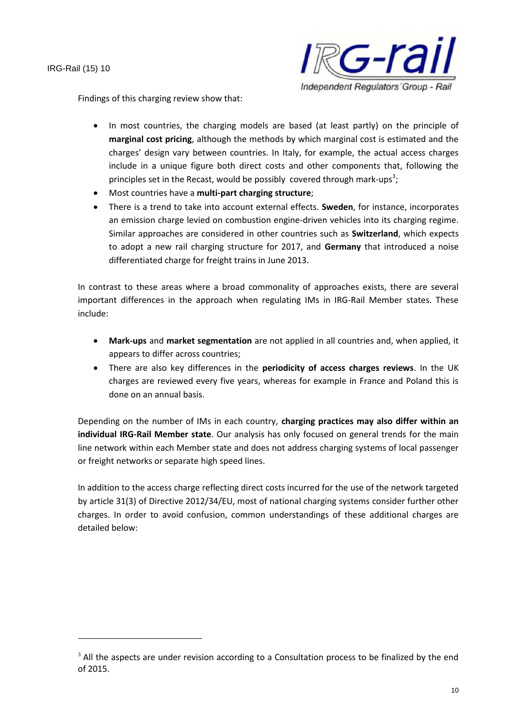

Findings of this charging review show that:

- In most countries, the charging models are based (at least partly) on the principle of **marginal cost pricing**, although the methods by which marginal cost is estimated and the charges' design vary between countries. In Italy, for example, the actual access charges include in a unique figure both direct costs and other components that, following the principles set in the Recast, would be possibly covered through mark-ups<sup>3</sup>;
- Most countries have a **multi-part charging structure**;
- There is a trend to take into account external effects. **Sweden**, for instance, incorporates an emission charge levied on combustion engine-driven vehicles into its charging regime. Similar approaches are considered in other countries such as **Switzerland**, which expects to adopt a new rail charging structure for 2017, and **Germany** that introduced a noise differentiated charge for freight trains in June 2013.

In contrast to these areas where a broad commonality of approaches exists, there are several important differences in the approach when regulating IMs in IRG-Rail Member states. These include:

- **Mark-ups** and **market segmentation** are not applied in all countries and, when applied, it appears to differ across countries;
- There are also key differences in the **periodicity of access charges reviews**. In the UK charges are reviewed every five years, whereas for example in France and Poland this is done on an annual basis.

Depending on the number of IMs in each country, **charging practices may also differ within an individual IRG-Rail Member state**. Our analysis has only focused on general trends for the main line network within each Member state and does not address charging systems of local passenger or freight networks or separate high speed lines.

In addition to the access charge reflecting direct costs incurred for the use of the network targeted by article 31(3) of Directive 2012/34/EU, most of national charging systems consider further other charges. In order to avoid confusion, common understandings of these additional charges are detailed below:

 $3$  All the aspects are under revision according to a Consultation process to be finalized by the end of 2015.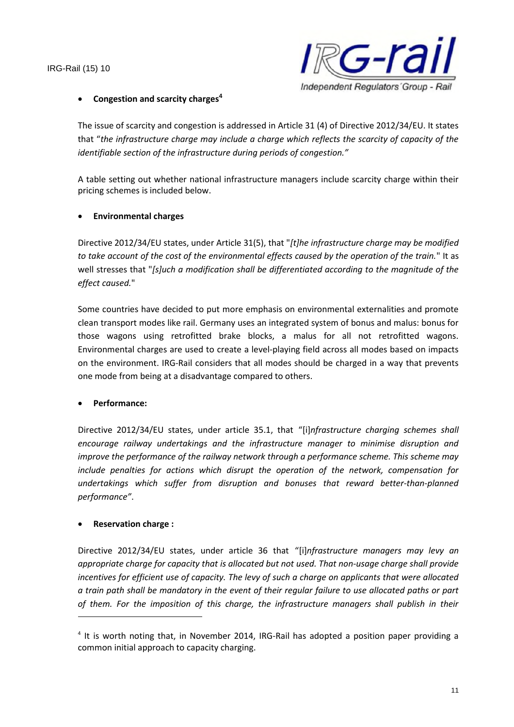

#### **Congestion and scarcity charges<sup>4</sup>**

The issue of scarcity and congestion is addressed in Article 31 (4) of Directive 2012/34/EU. It states that "*the infrastructure charge may include a charge which reflects the scarcity of capacity of the identifiable section of the infrastructure during periods of congestion."*

A table setting out whether national infrastructure managers include scarcity charge within their pricing schemes is included below.

#### **Environmental charges**

Directive 2012/34/EU states, under Article 31(5), that "*[t]he infrastructure charge may be modified to take account of the cost of the environmental effects caused by the operation of the train.*" It as well stresses that "*[s]uch a modification shall be differentiated according to the magnitude of the effect caused.*"

Some countries have decided to put more emphasis on environmental externalities and promote clean transport modes like rail. Germany uses an integrated system of bonus and malus: bonus for those wagons using retrofitted brake blocks, a malus for all not retrofitted wagons. Environmental charges are used to create a level-playing field across all modes based on impacts on the environment. IRG-Rail considers that all modes should be charged in a way that prevents one mode from being at a disadvantage compared to others.

#### **Performance:**

Directive 2012/34/EU states, under article 35.1, that "[i]*nfrastructure charging schemes shall encourage railway undertakings and the infrastructure manager to minimise disruption and improve the performance of the railway network through a performance scheme. This scheme may include penalties for actions which disrupt the operation of the network, compensation for undertakings which suffer from disruption and bonuses that reward better-than-planned performance"*.

#### **Reservation charge :**

Directive 2012/34/EU states, under article 36 that "[i]*nfrastructure managers may levy an appropriate charge for capacity that is allocated but not used. That non-usage charge shall provide incentives for efficient use of capacity. The levy of such a charge on applicants that were allocated a train path shall be mandatory in the event of their regular failure to use allocated paths or part of them. For the imposition of this charge, the infrastructure managers shall publish in their*

<sup>&</sup>lt;sup>4</sup> It is worth noting that, in November 2014, IRG-Rail has adopted a position paper providing a common initial approach to capacity charging.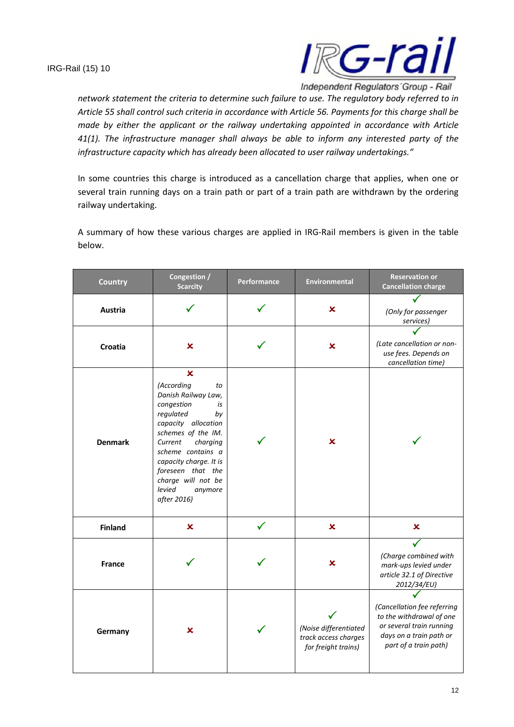

*network statement the criteria to determine such failure to use. The regulatory body referred to in Article 55 shall control such criteria in accordance with Article 56. Payments for this charge shall be made by either the applicant or the railway undertaking appointed in accordance with Article 41(1). The infrastructure manager shall always be able to inform any interested party of the infrastructure capacity which has already been allocated to user railway undertakings."*

In some countries this charge is introduced as a cancellation charge that applies, when one or several train running days on a train path or part of a train path are withdrawn by the ordering railway undertaking.

A summary of how these various charges are applied in IRG-Rail members is given in the table below.

| <b>Country</b> | Congestion /<br><b>Scarcity</b>                                                                                                                                                                                                                                                                 | Performance | <b>Environmental</b>                                                 | <b>Reservation or</b><br><b>Cancellation charge</b>                                                                                     |
|----------------|-------------------------------------------------------------------------------------------------------------------------------------------------------------------------------------------------------------------------------------------------------------------------------------------------|-------------|----------------------------------------------------------------------|-----------------------------------------------------------------------------------------------------------------------------------------|
| Austria        |                                                                                                                                                                                                                                                                                                 |             | ×                                                                    | (Only for passenger<br>services)                                                                                                        |
| Croatia        | $\boldsymbol{\mathsf{x}}$                                                                                                                                                                                                                                                                       |             | ×                                                                    | (Late cancellation or non-<br>use fees. Depends on<br>cancellation time)                                                                |
| <b>Denmark</b> | $\mathbf x$<br>(According<br>to<br>Danish Railway Law,<br>congestion<br>is<br>regulated<br>by<br>capacity allocation<br>schemes of the IM.<br>charging<br>Current<br>scheme contains a<br>capacity charge. It is<br>foreseen that the<br>charge will not be<br>levied<br>anymore<br>after 2016) |             | ×                                                                    |                                                                                                                                         |
| <b>Finland</b> | $\boldsymbol{\mathsf{x}}$                                                                                                                                                                                                                                                                       |             | $\mathbf x$                                                          | $\boldsymbol{\mathsf{x}}$                                                                                                               |
| <b>France</b>  |                                                                                                                                                                                                                                                                                                 |             | ×                                                                    | (Charge combined with<br>mark-ups levied under<br>article 32.1 of Directive<br>2012/34/EU)                                              |
| Germany        | x                                                                                                                                                                                                                                                                                               |             | (Noise differentiated<br>track access charges<br>for freight trains) | (Cancellation fee referring<br>to the withdrawal of one<br>or several train running<br>days on a train path or<br>part of a train path) |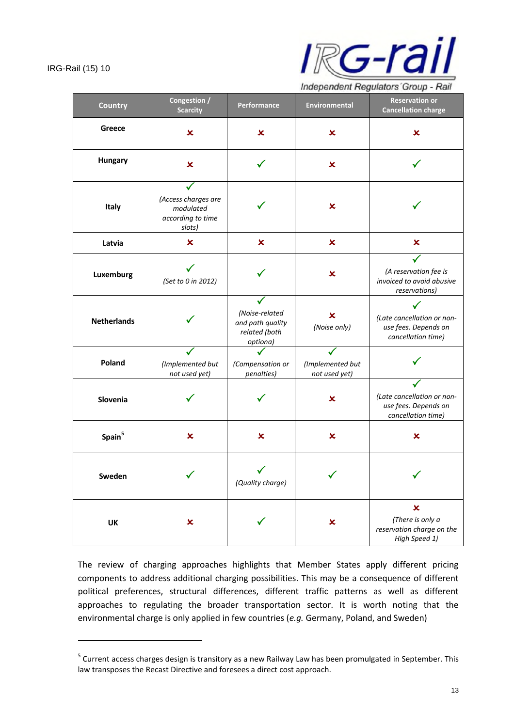

Independent Regulators' Group - Rail

| <b>Country</b>     | Congestion /<br><b>Scarcity</b>                                 | Performance                                                     | <b>Environmental</b>              | <b>Reservation or</b><br><b>Cancellation charge</b>                              |
|--------------------|-----------------------------------------------------------------|-----------------------------------------------------------------|-----------------------------------|----------------------------------------------------------------------------------|
| Greece             | $\boldsymbol{\mathsf{x}}$                                       | $\boldsymbol{\mathsf{x}}$                                       | $\boldsymbol{\mathsf{x}}$         | $\boldsymbol{\mathsf{x}}$                                                        |
| <b>Hungary</b>     | $\boldsymbol{\mathsf{x}}$                                       | ✓                                                               | $\boldsymbol{\mathsf{x}}$         |                                                                                  |
| Italy              | (Access charges are<br>modulated<br>according to time<br>slots) |                                                                 | $\boldsymbol{\mathsf{x}}$         |                                                                                  |
| Latvia             | $\boldsymbol{\mathsf{x}}$                                       | $\boldsymbol{\mathsf{x}}$                                       | $\boldsymbol{\mathsf{x}}$         | $\boldsymbol{\mathsf{x}}$                                                        |
| Luxemburg          | (Set to 0 in 2012)                                              |                                                                 | $\boldsymbol{\mathsf{x}}$         | (A reservation fee is<br>invoiced to avoid abusive<br>reservations)              |
| <b>Netherlands</b> |                                                                 | (Noise-related<br>and path quality<br>related (both<br>optiona) | ×<br>(Noise only)                 | (Late cancellation or non-<br>use fees. Depends on<br>cancellation time)         |
| Poland             | (Implemented but<br>not used yet)                               | (Compensation or<br>penalties)                                  | (Implemented but<br>not used yet) |                                                                                  |
| Slovenia           |                                                                 |                                                                 | $\boldsymbol{\mathsf{x}}$         | (Late cancellation or non-<br>use fees. Depends on<br>cancellation time)         |
| Spain <sup>5</sup> | $\boldsymbol{\mathsf{x}}$                                       | $\boldsymbol{\mathsf{x}}$                                       | $\boldsymbol{\mathsf{x}}$         | ×                                                                                |
| Sweden             |                                                                 | (Quality charge)                                                |                                   |                                                                                  |
| UK                 | $\boldsymbol{\mathsf{x}}$                                       |                                                                 | $\boldsymbol{\mathsf{x}}$         | $\pmb{\times}$<br>(There is only a<br>reservation charge on the<br>High Speed 1) |

The review of charging approaches highlights that Member States apply different pricing components to address additional charging possibilities. This may be a consequence of different political preferences, structural differences, different traffic patterns as well as different approaches to regulating the broader transportation sector. It is worth noting that the environmental charge is only applied in few countries (*e.g.* Germany, Poland, and Sweden)

<sup>&</sup>lt;sup>5</sup> Current access charges design is transitory as a new Railway Law has been promulgated in September. This law transposes the Recast Directive and foresees a direct cost approach.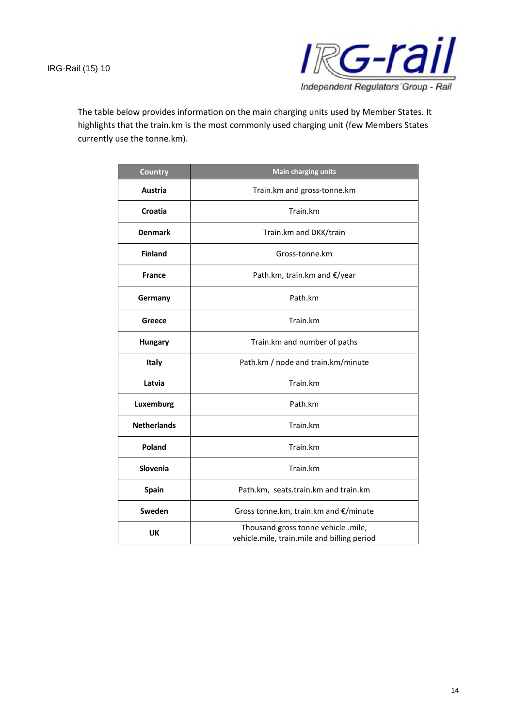

The table below provides information on the main charging units used by Member States. It highlights that the train.km is the most commonly used charging unit (few Members States currently use the tonne.km).

| <b>Country</b>     | <b>Main charging units</b>                                                         |
|--------------------|------------------------------------------------------------------------------------|
| Austria            | Train.km and gross-tonne.km                                                        |
| Croatia            | Train.km                                                                           |
| <b>Denmark</b>     | Train.km and DKK/train                                                             |
| <b>Finland</b>     | Gross-tonne.km                                                                     |
| <b>France</b>      | Path.km, train.km and €/year                                                       |
| Germany            | Path.km                                                                            |
| Greece             | Train.km                                                                           |
| <b>Hungary</b>     | Train.km and number of paths                                                       |
| Italy              | Path.km / node and train.km/minute                                                 |
| Latvia             | Train.km                                                                           |
| Luxemburg          | Path.km                                                                            |
| <b>Netherlands</b> | Train.km                                                                           |
| Poland             | Train.km                                                                           |
| Slovenia           | Train.km                                                                           |
| Spain              | Path.km, seats.train.km and train.km                                               |
| Sweden             | Gross tonne.km, train.km and €/minute                                              |
| <b>UK</b>          | Thousand gross tonne vehicle .mile,<br>vehicle.mile, train.mile and billing period |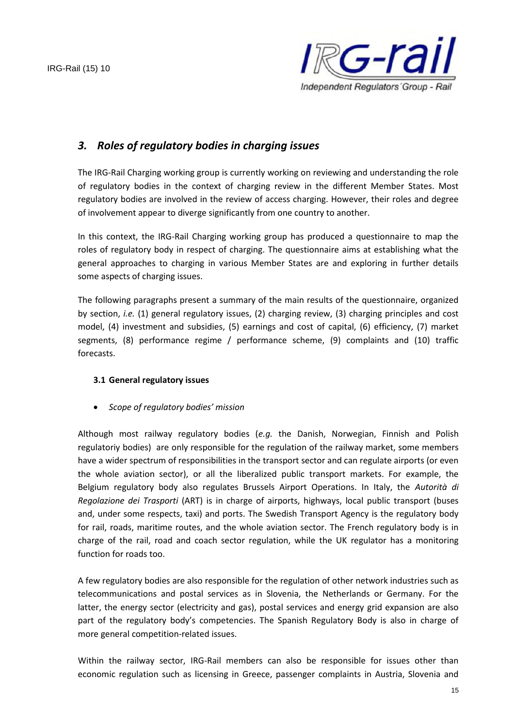

## *3. Roles of regulatory bodies in charging issues*

The IRG-Rail Charging working group is currently working on reviewing and understanding the role of regulatory bodies in the context of charging review in the different Member States. Most regulatory bodies are involved in the review of access charging. However, their roles and degree of involvement appear to diverge significantly from one country to another.

In this context, the IRG-Rail Charging working group has produced a questionnaire to map the roles of regulatory body in respect of charging. The questionnaire aims at establishing what the general approaches to charging in various Member States are and exploring in further details some aspects of charging issues.

The following paragraphs present a summary of the main results of the questionnaire, organized by section, *i.e.* (1) general regulatory issues, (2) charging review, (3) charging principles and cost model, (4) investment and subsidies, (5) earnings and cost of capital, (6) efficiency, (7) market segments, (8) performance regime / performance scheme, (9) complaints and (10) traffic forecasts.

## **3.1 General regulatory issues**

*Scope of regulatory bodies' mission*

Although most railway regulatory bodies (*e.g.* the Danish, Norwegian, Finnish and Polish regulatoriy bodies) are only responsible for the regulation of the railway market, some members have a wider spectrum of responsibilities in the transport sector and can regulate airports (or even the whole aviation sector), or all the liberalized public transport markets. For example, the Belgium regulatory body also regulates Brussels Airport Operations. In Italy, the *Autorità di Regolazione dei Trasporti* (ART) is in charge of airports, highways, local public transport (buses and, under some respects, taxi) and ports. The Swedish Transport Agency is the regulatory body for rail, roads, maritime routes, and the whole aviation sector. The French regulatory body is in charge of the rail, road and coach sector regulation, while the UK regulator has a monitoring function for roads too.

A few regulatory bodies are also responsible for the regulation of other network industries such as telecommunications and postal services as in Slovenia, the Netherlands or Germany. For the latter, the energy sector (electricity and gas), postal services and energy grid expansion are also part of the regulatory body's competencies. The Spanish Regulatory Body is also in charge of more general competition-related issues.

Within the railway sector, IRG-Rail members can also be responsible for issues other than economic regulation such as licensing in Greece, passenger complaints in Austria, Slovenia and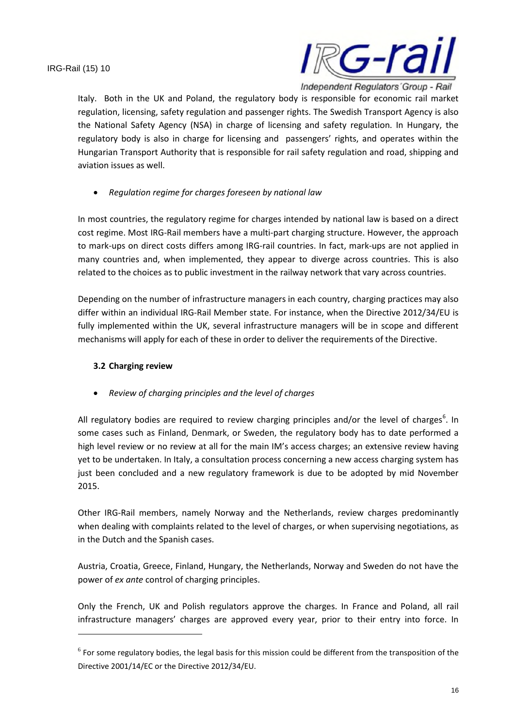

Italy. Both in the UK and Poland, the regulatory body is responsible for economic rail market regulation, licensing, safety regulation and passenger rights. The Swedish Transport Agency is also the National Safety Agency (NSA) in charge of licensing and safety regulation. In Hungary, the regulatory body is also in charge for licensing and passengers' rights, and operates within the Hungarian Transport Authority that is responsible for rail safety regulation and road, shipping and aviation issues as well.

#### *Regulation regime for charges foreseen by national law*

In most countries, the regulatory regime for charges intended by national law is based on a direct cost regime. Most IRG-Rail members have a multi-part charging structure. However, the approach to mark-ups on direct costs differs among IRG-rail countries. In fact, mark-ups are not applied in many countries and, when implemented, they appear to diverge across countries. This is also related to the choices as to public investment in the railway network that vary across countries.

Depending on the number of infrastructure managers in each country, charging practices may also differ within an individual IRG-Rail Member state. For instance, when the Directive 2012/34/EU is fully implemented within the UK, several infrastructure managers will be in scope and different mechanisms will apply for each of these in order to deliver the requirements of the Directive.

#### **3.2 Charging review**

## *Review of charging principles and the level of charges*

All regulatory bodies are required to review charging principles and/or the level of charges<sup>6</sup>. In some cases such as Finland, Denmark, or Sweden, the regulatory body has to date performed a high level review or no review at all for the main IM's access charges; an extensive review having yet to be undertaken. In Italy, a consultation process concerning a new access charging system has just been concluded and a new regulatory framework is due to be adopted by mid November 2015.

Other IRG-Rail members, namely Norway and the Netherlands, review charges predominantly when dealing with complaints related to the level of charges, or when supervising negotiations, as in the Dutch and the Spanish cases.

Austria, Croatia, Greece, Finland, Hungary, the Netherlands, Norway and Sweden do not have the power of *ex ante* control of charging principles.

Only the French, UK and Polish regulators approve the charges. In France and Poland, all rail infrastructure managers' charges are approved every year, prior to their entry into force. In

 $^6$  For some regulatory bodies, the legal basis for this mission could be different from the transposition of the Directive 2001/14/EC or the Directive 2012/34/EU.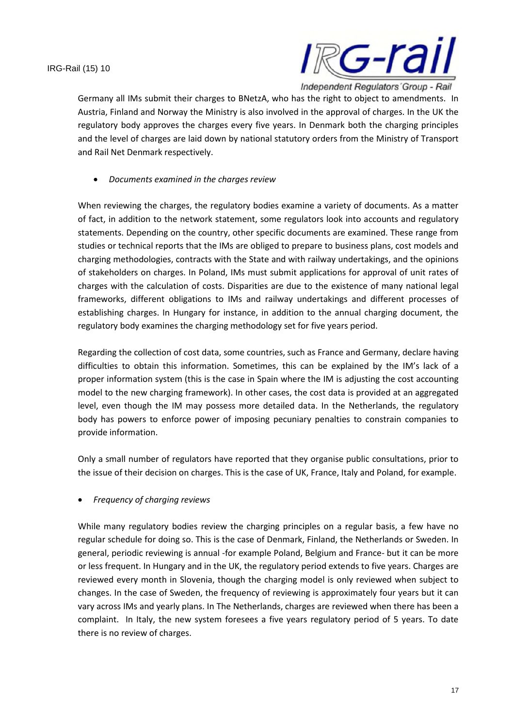

Germany all IMs submit their charges to BNetzA, who has the right to object to amendments. In Austria, Finland and Norway the Ministry is also involved in the approval of charges. In the UK the regulatory body approves the charges every five years. In Denmark both the charging principles and the level of charges are laid down by national statutory orders from the Ministry of Transport and Rail Net Denmark respectively.

*Documents examined in the charges review*

When reviewing the charges, the regulatory bodies examine a variety of documents. As a matter of fact, in addition to the network statement, some regulators look into accounts and regulatory statements. Depending on the country, other specific documents are examined. These range from studies or technical reports that the IMs are obliged to prepare to business plans, cost models and charging methodologies, contracts with the State and with railway undertakings, and the opinions of stakeholders on charges. In Poland, IMs must submit applications for approval of unit rates of charges with the calculation of costs. Disparities are due to the existence of many national legal frameworks, different obligations to IMs and railway undertakings and different processes of establishing charges. In Hungary for instance, in addition to the annual charging document, the regulatory body examines the charging methodology set for five years period.

Regarding the collection of cost data, some countries, such as France and Germany, declare having difficulties to obtain this information. Sometimes, this can be explained by the IM's lack of a proper information system (this is the case in Spain where the IM is adjusting the cost accounting model to the new charging framework). In other cases, the cost data is provided at an aggregated level, even though the IM may possess more detailed data. In the Netherlands, the regulatory body has powers to enforce power of imposing pecuniary penalties to constrain companies to provide information.

Only a small number of regulators have reported that they organise public consultations, prior to the issue of their decision on charges. This is the case of UK, France, Italy and Poland, for example.

*Frequency of charging reviews*

While many regulatory bodies review the charging principles on a regular basis, a few have no regular schedule for doing so. This is the case of Denmark, Finland, the Netherlands or Sweden. In general, periodic reviewing is annual -for example Poland, Belgium and France- but it can be more or less frequent. In Hungary and in the UK, the regulatory period extends to five years. Charges are reviewed every month in Slovenia, though the charging model is only reviewed when subject to changes. In the case of Sweden, the frequency of reviewing is approximately four years but it can vary across IMs and yearly plans. In The Netherlands, charges are reviewed when there has been a complaint. In Italy, the new system foresees a five years regulatory period of 5 years. To date there is no review of charges.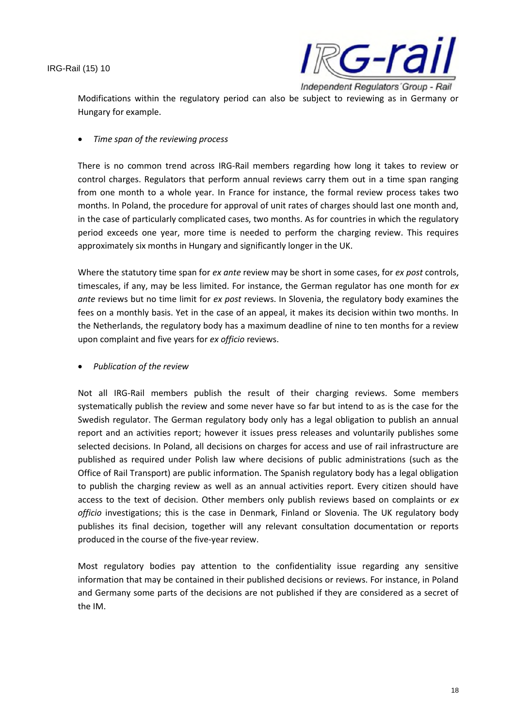

Modifications within the regulatory period can also be subject to reviewing as in Germany or Hungary for example.

*Time span of the reviewing process*

There is no common trend across IRG-Rail members regarding how long it takes to review or control charges. Regulators that perform annual reviews carry them out in a time span ranging from one month to a whole year. In France for instance, the formal review process takes two months. In Poland, the procedure for approval of unit rates of charges should last one month and, in the case of particularly complicated cases, two months. As for countries in which the regulatory period exceeds one year, more time is needed to perform the charging review. This requires approximately six months in Hungary and significantly longer in the UK.

Where the statutory time span for *ex ante* review may be short in some cases, for *ex post* controls, timescales, if any, may be less limited. For instance, the German regulator has one month for *ex ante* reviews but no time limit for *ex post* reviews. In Slovenia, the regulatory body examines the fees on a monthly basis. Yet in the case of an appeal, it makes its decision within two months. In the Netherlands, the regulatory body has a maximum deadline of nine to ten months for a review upon complaint and five years for *ex officio* reviews.

*Publication of the review*

Not all IRG-Rail members publish the result of their charging reviews. Some members systematically publish the review and some never have so far but intend to as is the case for the Swedish regulator. The German regulatory body only has a legal obligation to publish an annual report and an activities report; however it issues press releases and voluntarily publishes some selected decisions. In Poland, all decisions on charges for access and use of rail infrastructure are published as required under Polish law where decisions of public administrations (such as the Office of Rail Transport) are public information. The Spanish regulatory body has a legal obligation to publish the charging review as well as an annual activities report. Every citizen should have access to the text of decision. Other members only publish reviews based on complaints or *ex officio* investigations; this is the case in Denmark, Finland or Slovenia. The UK regulatory body publishes its final decision, together will any relevant consultation documentation or reports produced in the course of the five-year review.

Most regulatory bodies pay attention to the confidentiality issue regarding any sensitive information that may be contained in their published decisions or reviews. For instance, in Poland and Germany some parts of the decisions are not published if they are considered as a secret of the IM.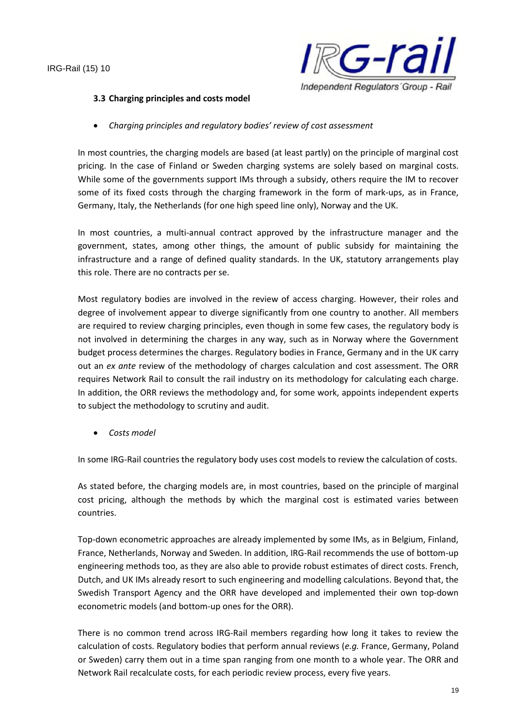

#### **3.3 Charging principles and costs model**

*Charging principles and regulatory bodies' review of cost assessment*

In most countries, the charging models are based (at least partly) on the principle of marginal cost pricing. In the case of Finland or Sweden charging systems are solely based on marginal costs. While some of the governments support IMs through a subsidy, others require the IM to recover some of its fixed costs through the charging framework in the form of mark-ups, as in France, Germany, Italy, the Netherlands (for one high speed line only), Norway and the UK.

In most countries, a multi-annual contract approved by the infrastructure manager and the government, states, among other things, the amount of public subsidy for maintaining the infrastructure and a range of defined quality standards. In the UK, statutory arrangements play this role. There are no contracts per se.

Most regulatory bodies are involved in the review of access charging. However, their roles and degree of involvement appear to diverge significantly from one country to another. All members are required to review charging principles, even though in some few cases, the regulatory body is not involved in determining the charges in any way, such as in Norway where the Government budget process determines the charges. Regulatory bodies in France, Germany and in the UK carry out an *ex ante* review of the methodology of charges calculation and cost assessment. The ORR requires Network Rail to consult the rail industry on its methodology for calculating each charge. In addition, the ORR reviews the methodology and, for some work, appoints independent experts to subject the methodology to scrutiny and audit.

*Costs model*

In some IRG-Rail countries the regulatory body uses cost models to review the calculation of costs.

As stated before, the charging models are, in most countries, based on the principle of marginal cost pricing, although the methods by which the marginal cost is estimated varies between countries.

Top-down econometric approaches are already implemented by some IMs, as in Belgium, Finland, France, Netherlands, Norway and Sweden. In addition, IRG-Rail recommends the use of bottom-up engineering methods too, as they are also able to provide robust estimates of direct costs. French, Dutch, and UK IMs already resort to such engineering and modelling calculations. Beyond that, the Swedish Transport Agency and the ORR have developed and implemented their own top-down econometric models (and bottom-up ones for the ORR).

There is no common trend across IRG-Rail members regarding how long it takes to review the calculation of costs. Regulatory bodies that perform annual reviews (*e.g.* France, Germany, Poland or Sweden) carry them out in a time span ranging from one month to a whole year. The ORR and Network Rail recalculate costs, for each periodic review process, every five years.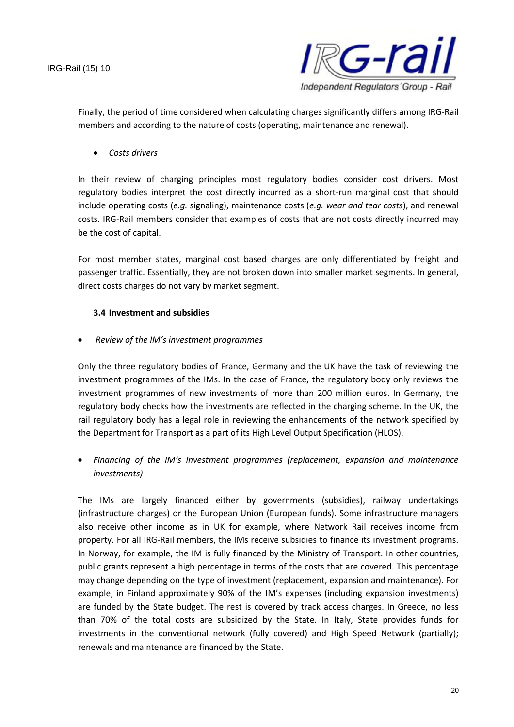

Finally, the period of time considered when calculating charges significantly differs among IRG-Rail members and according to the nature of costs (operating, maintenance and renewal).

*Costs drivers*

In their review of charging principles most regulatory bodies consider cost drivers. Most regulatory bodies interpret the cost directly incurred as a short-run marginal cost that should include operating costs (*e.g.* signaling), maintenance costs (*e.g. wear and tear costs*), and renewal costs. IRG-Rail members consider that examples of costs that are not costs directly incurred may be the cost of capital.

For most member states, marginal cost based charges are only differentiated by freight and passenger traffic. Essentially, they are not broken down into smaller market segments. In general, direct costs charges do not vary by market segment.

#### **3.4 Investment and subsidies**

*Review of the IM's investment programmes*

Only the three regulatory bodies of France, Germany and the UK have the task of reviewing the investment programmes of the IMs. In the case of France, the regulatory body only reviews the investment programmes of new investments of more than 200 million euros. In Germany, the regulatory body checks how the investments are reflected in the charging scheme. In the UK, the rail regulatory body has a legal role in reviewing the enhancements of the network specified by the Department for Transport as a part of its High Level Output Specification (HLOS).

 *Financing of the IM's investment programmes (replacement, expansion and maintenance investments)*

The IMs are largely financed either by governments (subsidies), railway undertakings (infrastructure charges) or the European Union (European funds). Some infrastructure managers also receive other income as in UK for example, where Network Rail receives income from property. For all IRG-Rail members, the IMs receive subsidies to finance its investment programs. In Norway, for example, the IM is fully financed by the Ministry of Transport. In other countries, public grants represent a high percentage in terms of the costs that are covered. This percentage may change depending on the type of investment (replacement, expansion and maintenance). For example, in Finland approximately 90% of the IM's expenses (including expansion investments) are funded by the State budget. The rest is covered by track access charges. In Greece, no less than 70% of the total costs are subsidized by the State. In Italy, State provides funds for investments in the conventional network (fully covered) and High Speed Network (partially); renewals and maintenance are financed by the State.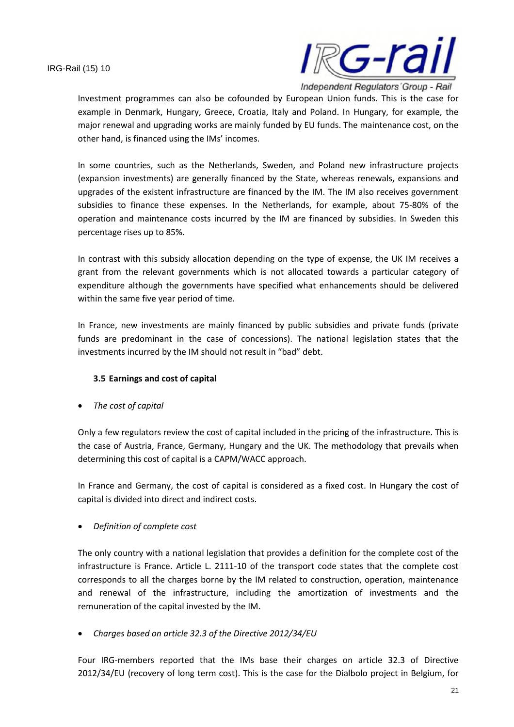

Investment programmes can also be cofounded by European Union funds. This is the case for example in Denmark, Hungary, Greece, Croatia, Italy and Poland. In Hungary, for example, the major renewal and upgrading works are mainly funded by EU funds. The maintenance cost, on the other hand, is financed using the IMs' incomes.

In some countries, such as the Netherlands, Sweden, and Poland new infrastructure projects (expansion investments) are generally financed by the State, whereas renewals, expansions and upgrades of the existent infrastructure are financed by the IM. The IM also receives government subsidies to finance these expenses. In the Netherlands, for example, about 75-80% of the operation and maintenance costs incurred by the IM are financed by subsidies. In Sweden this percentage rises up to 85%.

In contrast with this subsidy allocation depending on the type of expense, the UK IM receives a grant from the relevant governments which is not allocated towards a particular category of expenditure although the governments have specified what enhancements should be delivered within the same five year period of time.

In France, new investments are mainly financed by public subsidies and private funds (private funds are predominant in the case of concessions). The national legislation states that the investments incurred by the IM should not result in "bad" debt.

## **3.5 Earnings and cost of capital**

*The cost of capital*

Only a few regulators review the cost of capital included in the pricing of the infrastructure. This is the case of Austria, France, Germany, Hungary and the UK. The methodology that prevails when determining this cost of capital is a CAPM/WACC approach.

In France and Germany, the cost of capital is considered as a fixed cost. In Hungary the cost of capital is divided into direct and indirect costs.

*Definition of complete cost*

The only country with a national legislation that provides a definition for the complete cost of the infrastructure is France. Article L. 2111-10 of the transport code states that the complete cost corresponds to all the charges borne by the IM related to construction, operation, maintenance and renewal of the infrastructure, including the amortization of investments and the remuneration of the capital invested by the IM.

*Charges based on article 32.3 of the Directive 2012/34/EU*

Four IRG-members reported that the IMs base their charges on article 32.3 of Directive 2012/34/EU (recovery of long term cost). This is the case for the Dialbolo project in Belgium, for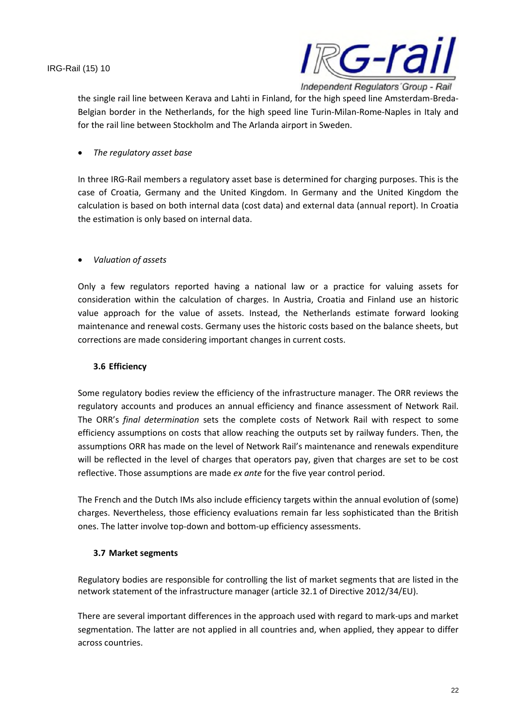

the single rail line between Kerava and Lahti in Finland, for the high speed line Amsterdam-Breda-Belgian border in the Netherlands, for the high speed line Turin-Milan-Rome-Naples in Italy and for the rail line between Stockholm and The Arlanda airport in Sweden.

## *The regulatory asset base*

In three IRG-Rail members a regulatory asset base is determined for charging purposes. This is the case of Croatia, Germany and the United Kingdom. In Germany and the United Kingdom the calculation is based on both internal data (cost data) and external data (annual report). In Croatia the estimation is only based on internal data.

## *Valuation of assets*

Only a few regulators reported having a national law or a practice for valuing assets for consideration within the calculation of charges. In Austria, Croatia and Finland use an historic value approach for the value of assets. Instead, the Netherlands estimate forward looking maintenance and renewal costs. Germany uses the historic costs based on the balance sheets, but corrections are made considering important changes in current costs.

## **3.6 Efficiency**

Some regulatory bodies review the efficiency of the infrastructure manager. The ORR reviews the regulatory accounts and produces an annual efficiency and finance assessment of Network Rail. The ORR's *final determination* sets the complete costs of Network Rail with respect to some efficiency assumptions on costs that allow reaching the outputs set by railway funders. Then, the assumptions ORR has made on the level of Network Rail's maintenance and renewals expenditure will be reflected in the level of charges that operators pay, given that charges are set to be cost reflective. Those assumptions are made *ex ante* for the five year control period.

The French and the Dutch IMs also include efficiency targets within the annual evolution of (some) charges. Nevertheless, those efficiency evaluations remain far less sophisticated than the British ones. The latter involve top-down and bottom-up efficiency assessments.

## **3.7 Market segments**

Regulatory bodies are responsible for controlling the list of market segments that are listed in the network statement of the infrastructure manager (article 32.1 of Directive 2012/34/EU).

There are several important differences in the approach used with regard to mark-ups and market segmentation. The latter are not applied in all countries and, when applied, they appear to differ across countries.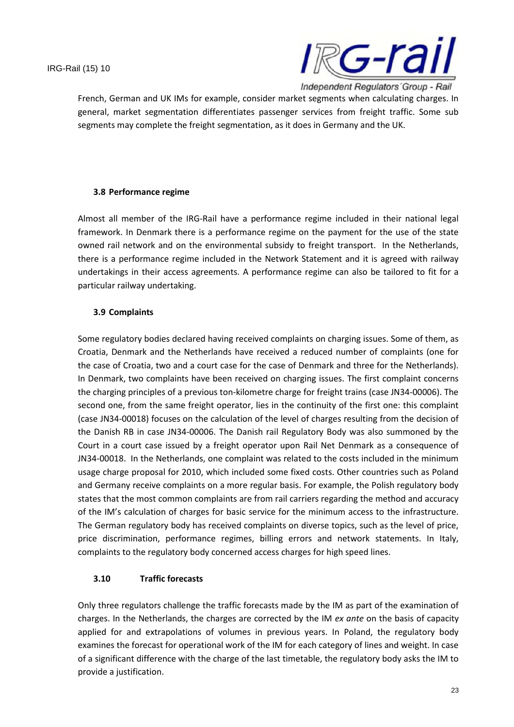

French, German and UK IMs for example, consider market segments when calculating charges. In general, market segmentation differentiates passenger services from freight traffic. Some sub segments may complete the freight segmentation, as it does in Germany and the UK.

#### **3.8 Performance regime**

Almost all member of the IRG-Rail have a performance regime included in their national legal framework. In Denmark there is a performance regime on the payment for the use of the state owned rail network and on the environmental subsidy to freight transport. In the Netherlands, there is a performance regime included in the Network Statement and it is agreed with railway undertakings in their access agreements. A performance regime can also be tailored to fit for a particular railway undertaking.

## **3.9 Complaints**

Some regulatory bodies declared having received complaints on charging issues. Some of them, as Croatia, Denmark and the Netherlands have received a reduced number of complaints (one for the case of Croatia, two and a court case for the case of Denmark and three for the Netherlands). In Denmark, two complaints have been received on charging issues. The first complaint concerns the charging principles of a previous ton-kilometre charge for freight trains (case JN34-00006). The second one, from the same freight operator, lies in the continuity of the first one: this complaint (case JN34-00018) focuses on the calculation of the level of charges resulting from the decision of the Danish RB in case JN34-00006. The Danish rail Regulatory Body was also summoned by the Court in a court case issued by a freight operator upon Rail Net Denmark as a consequence of JN34-00018. In the Netherlands, one complaint was related to the costs included in the minimum usage charge proposal for 2010, which included some fixed costs. Other countries such as Poland and Germany receive complaints on a more regular basis. For example, the Polish regulatory body states that the most common complaints are from rail carriers regarding the method and accuracy of the IM's calculation of charges for basic service for the minimum access to the infrastructure. The German regulatory body has received complaints on diverse topics, such as the level of price, price discrimination, performance regimes, billing errors and network statements. In Italy, complaints to the regulatory body concerned access charges for high speed lines.

## **3.10 Traffic forecasts**

Only three regulators challenge the traffic forecasts made by the IM as part of the examination of charges. In the Netherlands, the charges are corrected by the IM *ex ante* on the basis of capacity applied for and extrapolations of volumes in previous years. In Poland, the regulatory body examines the forecast for operational work of the IM for each category of lines and weight. In case of a significant difference with the charge of the last timetable, the regulatory body asks the IM to provide a justification.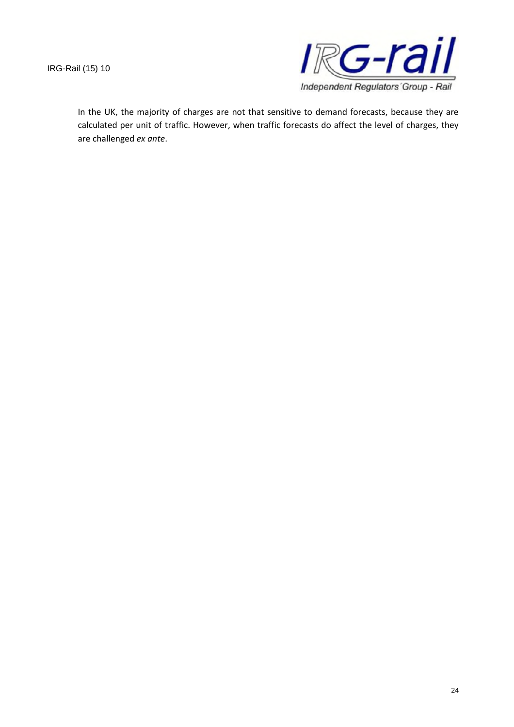

In the UK, the majority of charges are not that sensitive to demand forecasts, because they are calculated per unit of traffic. However, when traffic forecasts do affect the level of charges, they are challenged *ex ante*.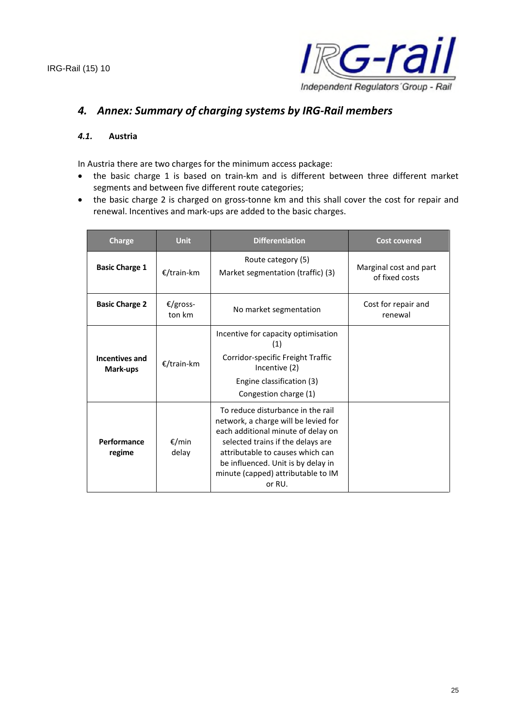

## *4. Annex: Summary of charging systems by IRG-Rail members*

#### *4.1.* **Austria**

In Austria there are two charges for the minimum access package:

- the basic charge 1 is based on train-km and is different between three different market segments and between five different route categories;
- the basic charge 2 is charged on gross-tonne km and this shall cover the cost for repair and renewal. Incentives and mark-ups are added to the basic charges.

| <b>Charge</b>                     | <b>Unit</b>        | <b>Differentiation</b>                                                                                                                                                                                                                                                         | <b>Cost covered</b>                      |
|-----------------------------------|--------------------|--------------------------------------------------------------------------------------------------------------------------------------------------------------------------------------------------------------------------------------------------------------------------------|------------------------------------------|
| <b>Basic Charge 1</b>             | €/train-km         | Route category (5)<br>Market segmentation (traffic) (3)                                                                                                                                                                                                                        | Marginal cost and part<br>of fixed costs |
| <b>Basic Charge 2</b>             | €/gross-<br>ton km | No market segmentation                                                                                                                                                                                                                                                         | Cost for repair and<br>renewal           |
| <b>Incentives and</b><br>Mark-ups | €/train-km         | Incentive for capacity optimisation<br>(1)<br>Corridor-specific Freight Traffic<br>Incentive (2)<br>Engine classification (3)<br>Congestion charge (1)                                                                                                                         |                                          |
| Performance<br>regime             | €/min<br>delay     | To reduce disturbance in the rail<br>network, a charge will be levied for<br>each additional minute of delay on<br>selected trains if the delays are<br>attributable to causes which can<br>be influenced. Unit is by delay in<br>minute (capped) attributable to IM<br>or RU. |                                          |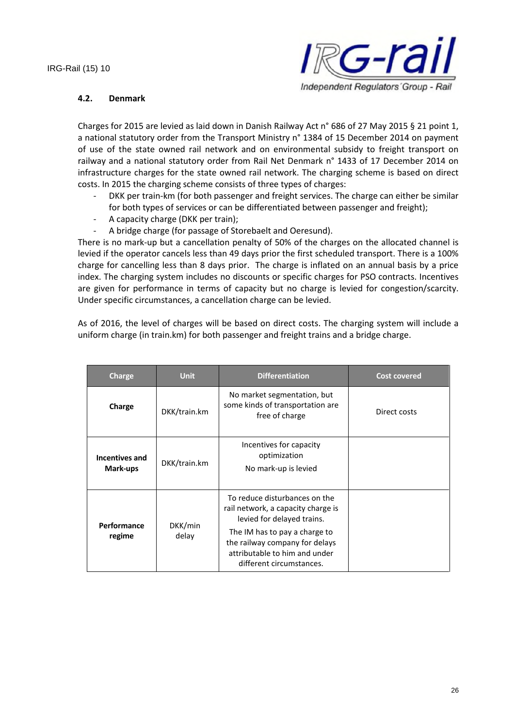

#### **4.2. Denmark**

Charges for 2015 are levied as laid down in Danish Railway Act n° 686 of 27 May 2015 § 21 point 1, a national statutory order from the Transport Ministry n° 1384 of 15 December 2014 on payment of use of the state owned rail network and on environmental subsidy to freight transport on railway and a national statutory order from Rail Net Denmark n° 1433 of 17 December 2014 on infrastructure charges for the state owned rail network. The charging scheme is based on direct costs. In 2015 the charging scheme consists of three types of charges:

- DKK per train-km (for both passenger and freight services. The charge can either be similar for both types of services or can be differentiated between passenger and freight);
- A capacity charge (DKK per train);
- A bridge charge (for passage of Storebaelt and Oeresund).

There is no mark-up but a cancellation penalty of 50% of the charges on the allocated channel is levied if the operator cancels less than 49 days prior the first scheduled transport. There is a 100% charge for cancelling less than 8 days prior. The charge is inflated on an annual basis by a price index. The charging system includes no discounts or specific charges for PSO contracts. Incentives are given for performance in terms of capacity but no charge is levied for congestion/scarcity. Under specific circumstances, a cancellation charge can be levied.

As of 2016, the level of charges will be based on direct costs. The charging system will include a uniform charge (in train.km) for both passenger and freight trains and a bridge charge.

| <b>Charge</b>              | <b>Unit</b>      | <b>Differentiation</b>                                                                                                                                                                                                            | <b>Cost covered</b> |
|----------------------------|------------------|-----------------------------------------------------------------------------------------------------------------------------------------------------------------------------------------------------------------------------------|---------------------|
| Charge                     | DKK/train.km     | No market segmentation, but<br>some kinds of transportation are<br>free of charge                                                                                                                                                 | Direct costs        |
| Incentives and<br>Mark-ups | DKK/train.km     | Incentives for capacity<br>optimization<br>No mark-up is levied                                                                                                                                                                   |                     |
| Performance<br>regime      | DKK/min<br>delay | To reduce disturbances on the<br>rail network, a capacity charge is<br>levied for delayed trains.<br>The IM has to pay a charge to<br>the railway company for delays<br>attributable to him and under<br>different circumstances. |                     |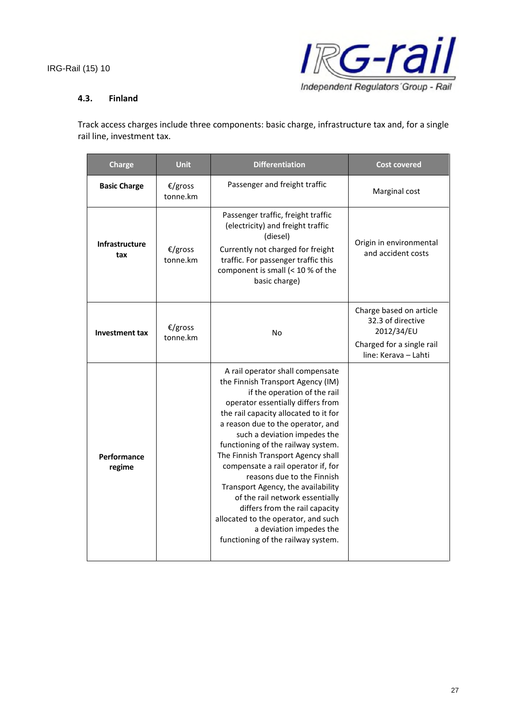

#### **4.3. Finland**

Track access charges include three components: basic charge, infrastructure tax and, for a single rail line, investment tax.

| <b>Charge</b>         | <b>Unit</b>         | <b>Differentiation</b>                                                                                                                                                                                                                                                                                                                                                                                                                                                                                                                                                                                                      | <b>Cost covered</b>                                                                                             |
|-----------------------|---------------------|-----------------------------------------------------------------------------------------------------------------------------------------------------------------------------------------------------------------------------------------------------------------------------------------------------------------------------------------------------------------------------------------------------------------------------------------------------------------------------------------------------------------------------------------------------------------------------------------------------------------------------|-----------------------------------------------------------------------------------------------------------------|
| <b>Basic Charge</b>   | €/gross<br>tonne.km | Passenger and freight traffic                                                                                                                                                                                                                                                                                                                                                                                                                                                                                                                                                                                               | Marginal cost                                                                                                   |
| Infrastructure<br>tax | €/gross<br>tonne.km | Passenger traffic, freight traffic<br>(electricity) and freight traffic<br>(diesel)<br>Currently not charged for freight<br>traffic. For passenger traffic this<br>component is small (< 10 % of the<br>basic charge)                                                                                                                                                                                                                                                                                                                                                                                                       | Origin in environmental<br>and accident costs                                                                   |
| <b>Investment tax</b> | €/gross<br>tonne.km | <b>No</b>                                                                                                                                                                                                                                                                                                                                                                                                                                                                                                                                                                                                                   | Charge based on article<br>32.3 of directive<br>2012/34/EU<br>Charged for a single rail<br>line: Kerava - Lahti |
| Performance<br>regime |                     | A rail operator shall compensate<br>the Finnish Transport Agency (IM)<br>if the operation of the rail<br>operator essentially differs from<br>the rail capacity allocated to it for<br>a reason due to the operator, and<br>such a deviation impedes the<br>functioning of the railway system.<br>The Finnish Transport Agency shall<br>compensate a rail operator if, for<br>reasons due to the Finnish<br>Transport Agency, the availability<br>of the rail network essentially<br>differs from the rail capacity<br>allocated to the operator, and such<br>a deviation impedes the<br>functioning of the railway system. |                                                                                                                 |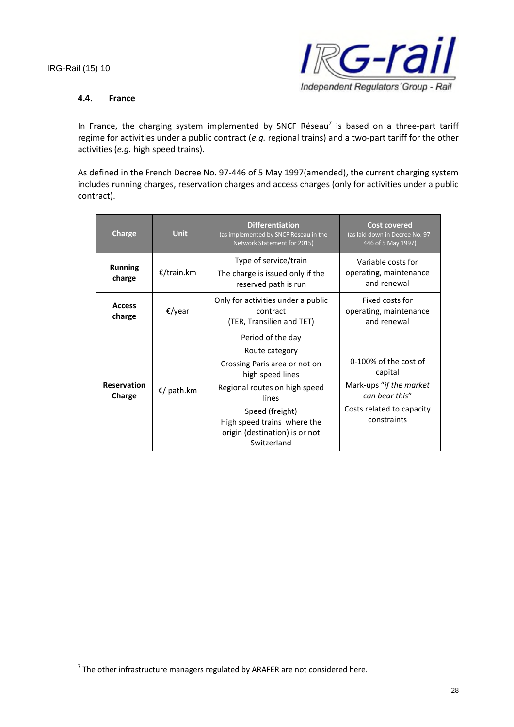

#### **4.4. France**

In France, the charging system implemented by SNCF Réseau<sup>7</sup> is based on a three-part tariff regime for activities under a public contract (*e.g.* regional trains) and a two-part tariff for the other activities (*e.g.* high speed trains).

As defined in the French Decree No. 97-446 of 5 May 1997(amended), the current charging system includes running charges, reservation charges and access charges (only for activities under a public contract).

| Charge                       | <b>Unit</b> | <b>Differentiation</b><br>(as implemented by SNCF Réseau in the<br>Network Statement for 2015)                                                                                                                                        | <b>Cost covered</b><br>(as laid down in Decree No. 97-<br>446 of 5 May 1997)                                               |
|------------------------------|-------------|---------------------------------------------------------------------------------------------------------------------------------------------------------------------------------------------------------------------------------------|----------------------------------------------------------------------------------------------------------------------------|
| <b>Running</b><br>charge     | €/train.km  | Type of service/train<br>The charge is issued only if the<br>reserved path is run                                                                                                                                                     | Variable costs for<br>operating, maintenance<br>and renewal                                                                |
| <b>Access</b><br>charge      | €/year      | Only for activities under a public<br>contract<br>(TER, Transilien and TET)                                                                                                                                                           | Fixed costs for<br>operating, maintenance<br>and renewal                                                                   |
| <b>Reservation</b><br>Charge | €/ path.km  | Period of the day<br>Route category<br>Crossing Paris area or not on<br>high speed lines<br>Regional routes on high speed<br>lines<br>Speed (freight)<br>High speed trains where the<br>origin (destination) is or not<br>Switzerland | 0-100% of the cost of<br>capital<br>Mark-ups "if the market"<br>can bear this"<br>Costs related to capacity<br>constraints |

 $^7$  The other infrastructure managers regulated by ARAFER are not considered here.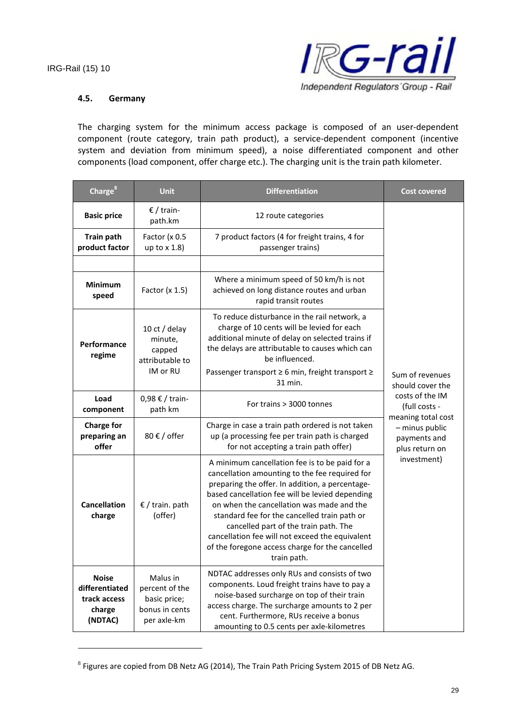

#### **4.5. Germany**

The charging system for the minimum access package is composed of an user-dependent component (route category, train path product), a service-dependent component (incentive system and deviation from minimum speed), a noise differentiated component and other components (load component, offer charge etc.). The charging unit is the train path kilometer.

| Charge <sup>8</sup>                                                  | <b>Unit</b>                                                                 | <b>Differentiation</b>                                                                                                                                                                                                                                                                                                                                                                                                                                            | <b>Cost covered</b>                                                    |  |
|----------------------------------------------------------------------|-----------------------------------------------------------------------------|-------------------------------------------------------------------------------------------------------------------------------------------------------------------------------------------------------------------------------------------------------------------------------------------------------------------------------------------------------------------------------------------------------------------------------------------------------------------|------------------------------------------------------------------------|--|
| <b>Basic price</b>                                                   | € / train-<br>path.km                                                       | 12 route categories                                                                                                                                                                                                                                                                                                                                                                                                                                               |                                                                        |  |
| <b>Train path</b><br>product factor                                  | Factor (x 0.5<br>up to $x$ 1.8)                                             | 7 product factors (4 for freight trains, 4 for<br>passenger trains)                                                                                                                                                                                                                                                                                                                                                                                               |                                                                        |  |
| <b>Minimum</b><br>speed                                              | Factor $(x 1.5)$                                                            | Where a minimum speed of 50 km/h is not<br>achieved on long distance routes and urban<br>rapid transit routes                                                                                                                                                                                                                                                                                                                                                     |                                                                        |  |
| Performance<br>regime                                                | 10 ct / delay<br>minute,<br>capped<br>attributable to<br>IM or RU           | To reduce disturbance in the rail network, a<br>charge of 10 cents will be levied for each<br>additional minute of delay on selected trains if<br>the delays are attributable to causes which can<br>be influenced.<br>Passenger transport ≥ 6 min, freight transport ≥                                                                                                                                                                                           | Sum of revenues                                                        |  |
| Load<br>component                                                    | 0,98 € / train-<br>path km                                                  | 31 min.<br>For trains > 3000 tonnes                                                                                                                                                                                                                                                                                                                                                                                                                               | should cover the<br>costs of the IM<br>(full costs -                   |  |
| <b>Charge for</b><br>preparing an<br>offer                           | 80 $\epsilon$ / offer                                                       | Charge in case a train path ordered is not taken<br>up (a processing fee per train path is charged<br>for not accepting a train path offer)                                                                                                                                                                                                                                                                                                                       | meaning total cost<br>- minus public<br>payments and<br>plus return on |  |
| <b>Cancellation</b><br>$\epsilon$ / train. path<br>(offer)<br>charge |                                                                             | A minimum cancellation fee is to be paid for a<br>cancellation amounting to the fee required for<br>preparing the offer. In addition, a percentage-<br>based cancellation fee will be levied depending<br>on when the cancellation was made and the<br>standard fee for the cancelled train path or<br>cancelled part of the train path. The<br>cancellation fee will not exceed the equivalent<br>of the foregone access charge for the cancelled<br>train path. | investment)                                                            |  |
| <b>Noise</b><br>differentiated<br>track access<br>charge<br>(NDTAC)  | Malus in<br>percent of the<br>basic price;<br>bonus in cents<br>per axle-km | NDTAC addresses only RUs and consists of two<br>components. Loud freight trains have to pay a<br>noise-based surcharge on top of their train<br>access charge. The surcharge amounts to 2 per<br>cent. Furthermore, RUs receive a bonus<br>amounting to 0.5 cents per axle-kilometres                                                                                                                                                                             |                                                                        |  |

 $^8$  Figures are copied from DB Netz AG (2014), The Train Path Pricing System 2015 of DB Netz AG.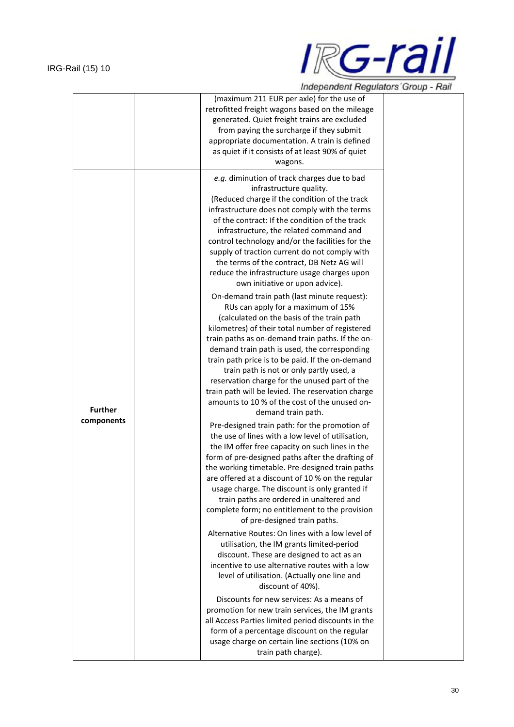

|                | (maximum 211 EUR per axle) for the use of                                                          |
|----------------|----------------------------------------------------------------------------------------------------|
|                | retrofitted freight wagons based on the mileage                                                    |
|                | generated. Quiet freight trains are excluded                                                       |
|                | from paying the surcharge if they submit                                                           |
|                | appropriate documentation. A train is defined                                                      |
|                | as quiet if it consists of at least 90% of quiet                                                   |
|                | wagons.                                                                                            |
|                | e.g. diminution of track charges due to bad                                                        |
|                | infrastructure quality.                                                                            |
|                | (Reduced charge if the condition of the track                                                      |
|                | infrastructure does not comply with the terms                                                      |
|                | of the contract: If the condition of the track                                                     |
|                | infrastructure, the related command and                                                            |
|                | control technology and/or the facilities for the                                                   |
|                | supply of traction current do not comply with                                                      |
|                | the terms of the contract, DB Netz AG will                                                         |
|                | reduce the infrastructure usage charges upon<br>own initiative or upon advice).                    |
|                | On-demand train path (last minute request):                                                        |
|                | RUs can apply for a maximum of 15%                                                                 |
|                | (calculated on the basis of the train path                                                         |
|                | kilometres) of their total number of registered                                                    |
|                | train paths as on-demand train paths. If the on-                                                   |
|                | demand train path is used, the corresponding                                                       |
|                | train path price is to be paid. If the on-demand                                                   |
|                | train path is not or only partly used, a                                                           |
|                | reservation charge for the unused part of the                                                      |
|                | train path will be levied. The reservation charge<br>amounts to 10 % of the cost of the unused on- |
| <b>Further</b> | demand train path.                                                                                 |
| components     |                                                                                                    |
|                | Pre-designed train path: for the promotion of<br>the use of lines with a low level of utilisation, |
|                | the IM offer free capacity on such lines in the                                                    |
|                | form of pre-designed paths after the drafting of                                                   |
|                | the working timetable. Pre-designed train paths                                                    |
|                | are offered at a discount of 10 % on the regular                                                   |
|                | usage charge. The discount is only granted if                                                      |
|                | train paths are ordered in unaltered and                                                           |
|                | complete form; no entitlement to the provision                                                     |
|                | of pre-designed train paths.                                                                       |
|                | Alternative Routes: On lines with a low level of                                                   |
|                | utilisation, the IM grants limited-period                                                          |
|                | discount. These are designed to act as an                                                          |
|                | incentive to use alternative routes with a low                                                     |
|                | level of utilisation. (Actually one line and                                                       |
|                | discount of 40%).<br>Discounts for new services: As a means of                                     |
|                | promotion for new train services, the IM grants                                                    |
|                | all Access Parties limited period discounts in the                                                 |
|                | form of a percentage discount on the regular                                                       |
|                | usage charge on certain line sections (10% on                                                      |
|                | train path charge).                                                                                |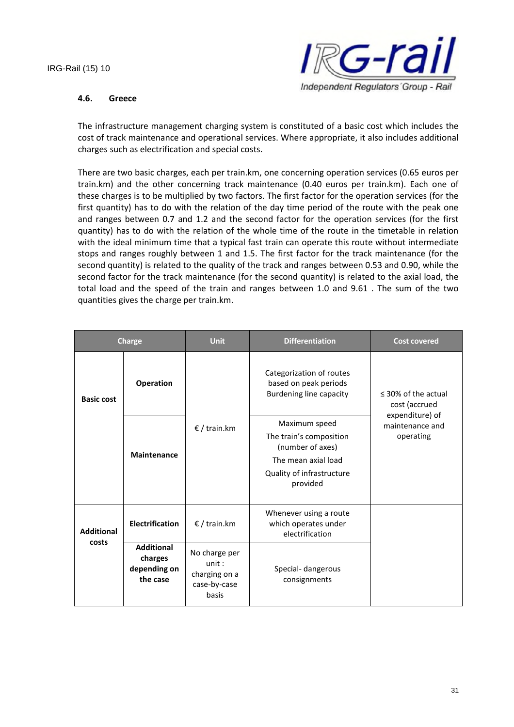

#### **4.6. Greece**

The infrastructure management charging system is constituted of a basic cost which includes the cost of track maintenance and operational services. Where appropriate, it also includes additional charges such as electrification and special costs.

There are two basic charges, each per train.km, one concerning operation services (0.65 euros per train.km) and the other concerning track maintenance (0.40 euros per train.km). Each one of these charges is to be multiplied by two factors. The first factor for the operation services (for the first quantity) has to do with the relation of the day time period of the route with the peak one and ranges between 0.7 and 1.2 and the second factor for the operation services (for the first quantity) has to do with the relation of the whole time of the route in the timetable in relation with the ideal minimum time that a typical fast train can operate this route without intermediate stops and ranges roughly between 1 and 1.5. The first factor for the track maintenance (for the second quantity) is related to the quality of the track and ranges between 0.53 and 0.90, while the second factor for the track maintenance (for the second quantity) is related to the axial load, the total load and the speed of the train and ranges between 1.0 and 9.61 . The sum of the two quantities gives the charge per train.km.

| <b>Charge</b>              |                                                          | <b>Unit</b>                                                      | <b>Differentiation</b>                                                                                                       | <b>Cost covered</b>                             |
|----------------------------|----------------------------------------------------------|------------------------------------------------------------------|------------------------------------------------------------------------------------------------------------------------------|-------------------------------------------------|
| <b>Basic cost</b>          | Operation                                                |                                                                  | Categorization of routes<br>based on peak periods<br>Burdening line capacity                                                 | $\leq$ 30% of the actual<br>cost (accrued       |
|                            | <b>Maintenance</b>                                       | € / train.km                                                     | Maximum speed<br>The train's composition<br>(number of axes)<br>The mean axial load<br>Quality of infrastructure<br>provided | expenditure) of<br>maintenance and<br>operating |
| <b>Additional</b><br>costs | <b>Electrification</b>                                   | $E /$ train.km                                                   | Whenever using a route<br>which operates under<br>electrification                                                            |                                                 |
|                            | <b>Additional</b><br>charges<br>depending on<br>the case | No charge per<br>unit:<br>charging on a<br>case-by-case<br>basis | Special- dangerous<br>consignments                                                                                           |                                                 |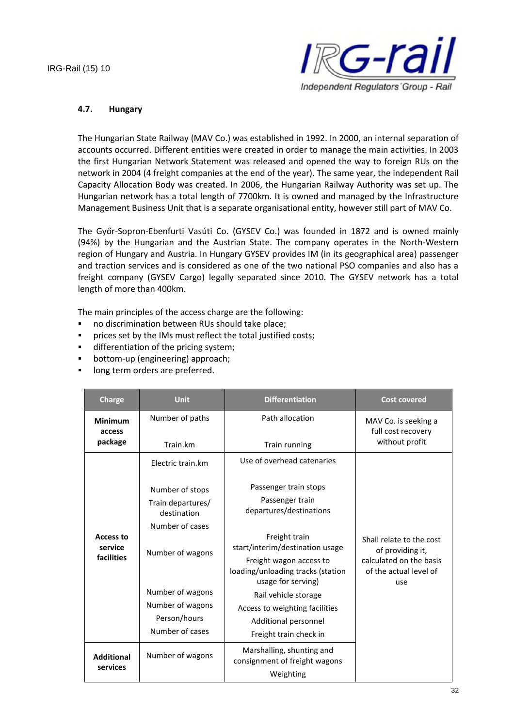

#### **4.7. Hungary**

The Hungarian State Railway (MAV Co.) was established in 1992. In 2000, an internal separation of accounts occurred. Different entities were created in order to manage the main activities. In 2003 the first Hungarian Network Statement was released and opened the way to foreign RUs on the network in 2004 (4 freight companies at the end of the year). The same year, the independent Rail Capacity Allocation Body was created. In 2006, the Hungarian Railway Authority was set up. The Hungarian network has a total length of 7700km. It is owned and managed by the Infrastructure Management Business Unit that is a separate organisational entity, however still part of MAV Co.

The Győr-Sopron-Ebenfurti Vasúti Co. (GYSEV Co.) was founded in 1872 and is owned mainly (94%) by the Hungarian and the Austrian State. The company operates in the North-Western region of Hungary and Austria. In Hungary GYSEV provides IM (in its geographical area) passenger and traction services and is considered as one of the two national PSO companies and also has a freight company (GYSEV Cargo) legally separated since 2010. The GYSEV network has a total length of more than 400km.

The main principles of the access charge are the following:

- no discrimination between RUs should take place;
- **•** prices set by the IMs must reflect the total justified costs;
- **differentiation of the pricing system;**
- bottom-up (engineering) approach;
- **IDONG** long term orders are preferred.

| <b>Charge</b>                 | <b>Unit</b>                      | <b>Differentiation</b>                                                             | <b>Cost covered</b>                                      |
|-------------------------------|----------------------------------|------------------------------------------------------------------------------------|----------------------------------------------------------|
| <b>Minimum</b><br>access      | Number of paths                  | Path allocation                                                                    | MAV Co. is seeking a<br>full cost recovery               |
| package                       | Train.km                         | Train running                                                                      | without profit                                           |
|                               | Electric train.km                | Use of overhead catenaries                                                         |                                                          |
|                               | Number of stops                  | Passenger train stops                                                              |                                                          |
|                               | Train departures/<br>destination | Passenger train<br>departures/destinations                                         |                                                          |
|                               | Number of cases                  |                                                                                    |                                                          |
| <b>Access to</b><br>service   | Number of wagons                 | Freight train<br>start/interim/destination usage                                   | Shall relate to the cost<br>of providing it,             |
| facilities                    |                                  | Freight wagon access to<br>loading/unloading tracks (station<br>usage for serving) | calculated on the basis<br>of the actual level of<br>use |
|                               | Number of wagons                 | Rail vehicle storage                                                               |                                                          |
|                               | Number of wagons                 | Access to weighting facilities                                                     |                                                          |
|                               | Person/hours                     | Additional personnel                                                               |                                                          |
|                               | Number of cases                  | Freight train check in                                                             |                                                          |
| <b>Additional</b><br>services | Number of wagons                 | Marshalling, shunting and<br>consignment of freight wagons                         |                                                          |
|                               |                                  | Weighting                                                                          |                                                          |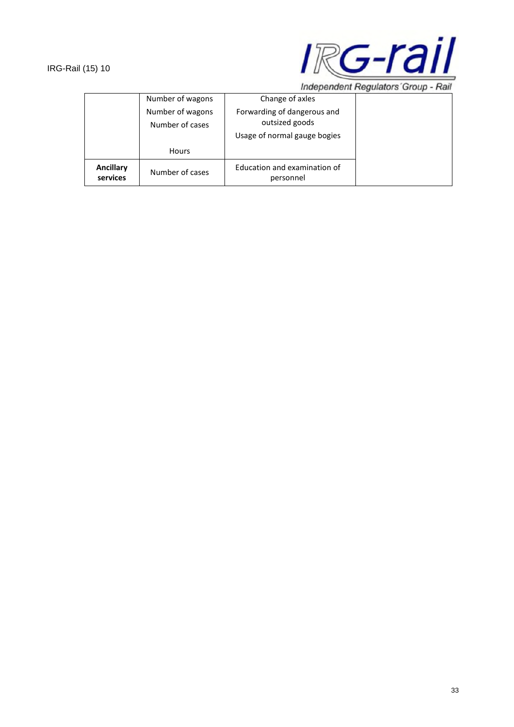

Independent Regulators' Group - Rail

|                       | Number of wagons                    | Change of axles                                                               |  |
|-----------------------|-------------------------------------|-------------------------------------------------------------------------------|--|
|                       | Number of wagons<br>Number of cases | Forwarding of dangerous and<br>outsized goods<br>Usage of normal gauge bogies |  |
|                       | <b>Hours</b>                        |                                                                               |  |
| Ancillary<br>services | Number of cases                     | Education and examination of<br>personnel                                     |  |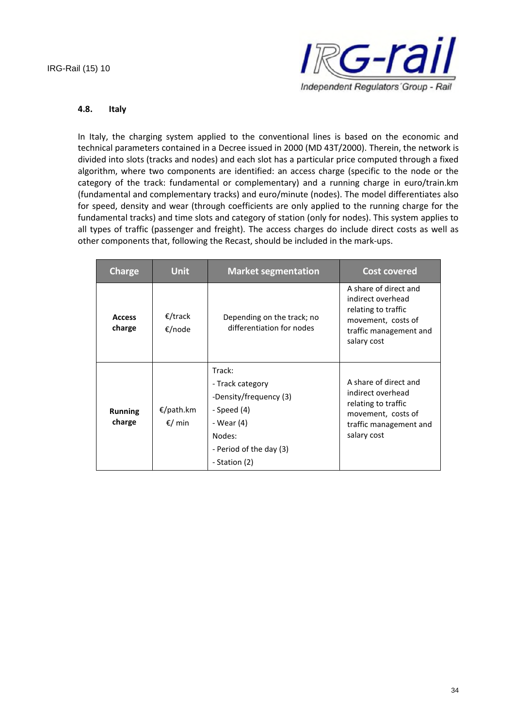

#### **4.8. Italy**

In Italy, the charging system applied to the conventional lines is based on the economic and technical parameters contained in a Decree issued in 2000 (MD 43T/2000). Therein, the network is divided into slots (tracks and nodes) and each slot has a particular price computed through a fixed algorithm, where two components are identified: an access charge (specific to the node or the category of the track: fundamental or complementary) and a running charge in euro/train.km (fundamental and complementary tracks) and euro/minute (nodes). The model differentiates also for speed, density and wear (through coefficients are only applied to the running charge for the fundamental tracks) and time slots and category of station (only for nodes). This system applies to all types of traffic (passenger and freight). The access charges do include direct costs as well as other components that, following the Recast, should be included in the mark-ups.

| <b>Charge</b>            | <b>Unit</b>         | <b>Market segmentation</b>                                                                                                              | <b>Cost covered</b>                                                                                                              |
|--------------------------|---------------------|-----------------------------------------------------------------------------------------------------------------------------------------|----------------------------------------------------------------------------------------------------------------------------------|
| <b>Access</b><br>charge  | €/track<br>€/node   | Depending on the track; no<br>differentiation for nodes                                                                                 | A share of direct and<br>indirect overhead<br>relating to traffic<br>movement, costs of<br>traffic management and<br>salary cost |
| <b>Running</b><br>charge | €/path.km<br>€/ min | Track:<br>- Track category<br>-Density/frequency (3)<br>- Speed (4)<br>- Wear (4)<br>Nodes:<br>- Period of the day (3)<br>- Station (2) | A share of direct and<br>indirect overhead<br>relating to traffic<br>movement, costs of<br>traffic management and<br>salary cost |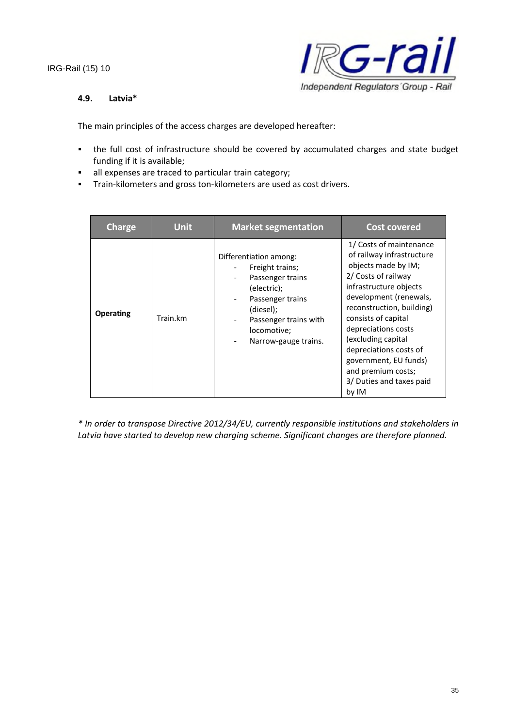

#### **4.9. Latvia\***

The main principles of the access charges are developed hereafter:

- the full cost of infrastructure should be covered by accumulated charges and state budget funding if it is available;
- all expenses are traced to particular train category;
- **Train-kilometers and gross ton-kilometers are used as cost drivers.**

| Charge           | <b>Unit</b> | <b>Market segmentation</b>                                                                                                                                                                                                            | <b>Cost covered</b>                                                                                                                                                                                                                                                                                                                                                   |
|------------------|-------------|---------------------------------------------------------------------------------------------------------------------------------------------------------------------------------------------------------------------------------------|-----------------------------------------------------------------------------------------------------------------------------------------------------------------------------------------------------------------------------------------------------------------------------------------------------------------------------------------------------------------------|
| <b>Operating</b> | Train.km    | Differentiation among:<br>Freight trains;<br>Passenger trains<br>$\overline{\phantom{a}}$<br>(electric);<br>Passenger trains<br>(diesel);<br>Passenger trains with<br>$\overline{\phantom{a}}$<br>locomotive;<br>Narrow-gauge trains. | 1/ Costs of maintenance<br>of railway infrastructure<br>objects made by IM;<br>2/ Costs of railway<br>infrastructure objects<br>development (renewals,<br>reconstruction, building)<br>consists of capital<br>depreciations costs<br>(excluding capital<br>depreciations costs of<br>government, EU funds)<br>and premium costs;<br>3/ Duties and taxes paid<br>by IM |

*\* In order to transpose Directive 2012/34/EU, currently responsible institutions and stakeholders in Latvia have started to develop new charging scheme. Significant changes are therefore planned.*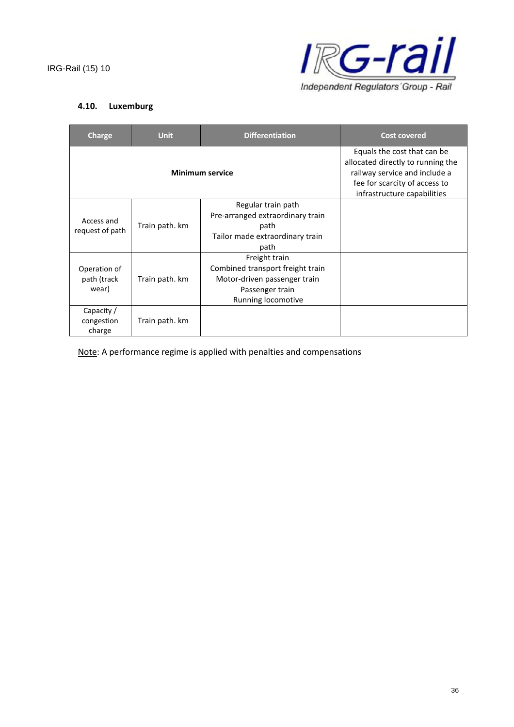

## **4.10. Luxemburg**

| Charge                               | <b>Unit</b>    | <b>Differentiation</b>                                                                                                     | <b>Cost covered</b>                                                                                                                                               |
|--------------------------------------|----------------|----------------------------------------------------------------------------------------------------------------------------|-------------------------------------------------------------------------------------------------------------------------------------------------------------------|
| <b>Minimum service</b>               |                |                                                                                                                            | Equals the cost that can be<br>allocated directly to running the<br>railway service and include a<br>fee for scarcity of access to<br>infrastructure capabilities |
| Access and<br>request of path        | Train path. km | Regular train path<br>Pre-arranged extraordinary train<br>path<br>Tailor made extraordinary train<br>path                  |                                                                                                                                                                   |
| Operation of<br>path (track<br>wear) | Train path. km | Freight train<br>Combined transport freight train<br>Motor-driven passenger train<br>Passenger train<br>Running locomotive |                                                                                                                                                                   |
| Capacity /<br>congestion<br>charge   | Train path. km |                                                                                                                            |                                                                                                                                                                   |

Note: A performance regime is applied with penalties and compensations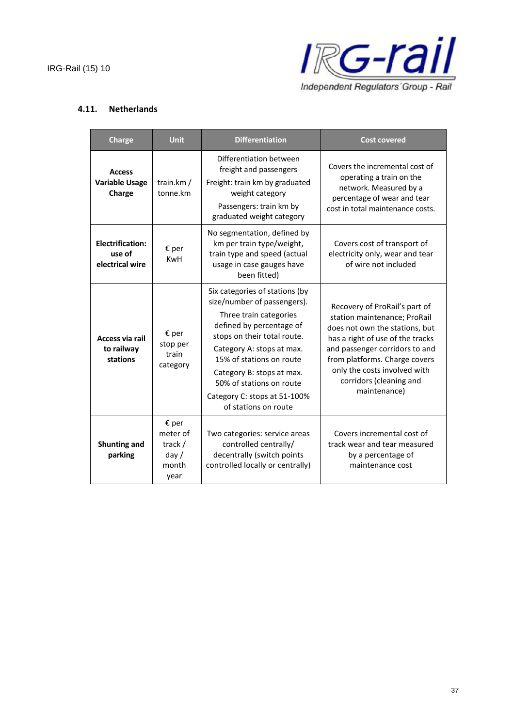

#### **4.11. Netherlands**

| <b>Charge</b>                                        | <b>Unit</b>                                                    | <b>Differentiation</b>                                                                                                                                                                                                                                                                                                       | <b>Cost covered</b>                                                                                                                                                                                                                                                               |
|------------------------------------------------------|----------------------------------------------------------------|------------------------------------------------------------------------------------------------------------------------------------------------------------------------------------------------------------------------------------------------------------------------------------------------------------------------------|-----------------------------------------------------------------------------------------------------------------------------------------------------------------------------------------------------------------------------------------------------------------------------------|
| <b>Access</b><br><b>Variable Usage</b><br>Charge     | train.km/<br>tonne.km                                          | Differentiation between<br>freight and passengers<br>Freight: train km by graduated<br>weight category<br>Passengers: train km by<br>graduated weight category                                                                                                                                                               | Covers the incremental cost of<br>operating a train on the<br>network. Measured by a<br>percentage of wear and tear<br>cost in total maintenance costs.                                                                                                                           |
| <b>Electrification:</b><br>use of<br>electrical wire | $\epsilon$ per<br><b>KwH</b>                                   | No segmentation, defined by<br>km per train type/weight,<br>train type and speed (actual<br>usage in case gauges have<br>been fitted)                                                                                                                                                                                        | Covers cost of transport of<br>electricity only, wear and tear<br>of wire not included                                                                                                                                                                                            |
| Access via rail<br>to railway<br>stations            | $\epsilon$ per<br>stop per<br>train<br>category                | Six categories of stations (by<br>size/number of passengers).<br>Three train categories<br>defined by percentage of<br>stops on their total route.<br>Category A: stops at max.<br>15% of stations on route<br>Category B: stops at max.<br>50% of stations on route<br>Category C: stops at 51-100%<br>of stations on route | Recovery of ProRail's part of<br>station maintenance; ProRail<br>does not own the stations, but<br>has a right of use of the tracks<br>and passenger corridors to and<br>from platforms. Charge covers<br>only the costs involved with<br>corridors (cleaning and<br>maintenance) |
| <b>Shunting and</b><br>parking                       | $\epsilon$ per<br>meter of<br>track /<br>day/<br>month<br>year | Two categories: service areas<br>controlled centrally/<br>decentrally (switch points<br>controlled locally or centrally)                                                                                                                                                                                                     | Covers incremental cost of<br>track wear and tear measured<br>by a percentage of<br>maintenance cost                                                                                                                                                                              |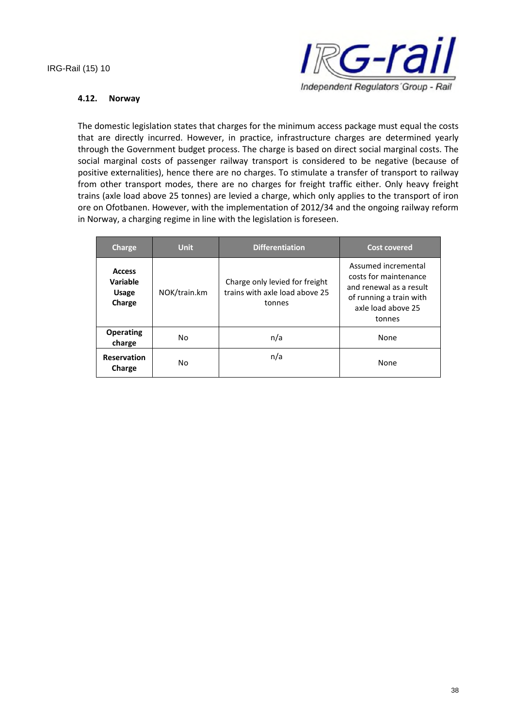

#### **4.12. Norway**

The domestic legislation states that charges for the minimum access package must equal the costs that are directly incurred. However, in practice, infrastructure charges are determined yearly through the Government budget process. The charge is based on direct social marginal costs. The social marginal costs of passenger railway transport is considered to be negative (because of positive externalities), hence there are no charges. To stimulate a transfer of transport to railway from other transport modes, there are no charges for freight traffic either. Only heavy freight trains (axle load above 25 tonnes) are levied a charge, which only applies to the transport of iron ore on Ofotbanen. However, with the implementation of 2012/34 and the ongoing railway reform in Norway, a charging regime in line with the legislation is foreseen.

| Charge                                              | <b>Unit</b>  | <b>Differentiation</b>                                                     | <b>Cost covered</b>                                                                                                                |
|-----------------------------------------------------|--------------|----------------------------------------------------------------------------|------------------------------------------------------------------------------------------------------------------------------------|
| <b>Access</b><br>Variable<br><b>Usage</b><br>Charge | NOK/train.km | Charge only levied for freight<br>trains with axle load above 25<br>tonnes | Assumed incremental<br>costs for maintenance<br>and renewal as a result<br>of running a train with<br>axle load above 25<br>tonnes |
| <b>Operating</b><br>charge                          | No           | n/a                                                                        | None                                                                                                                               |
| <b>Reservation</b><br>Charge                        | No           | n/a                                                                        | None                                                                                                                               |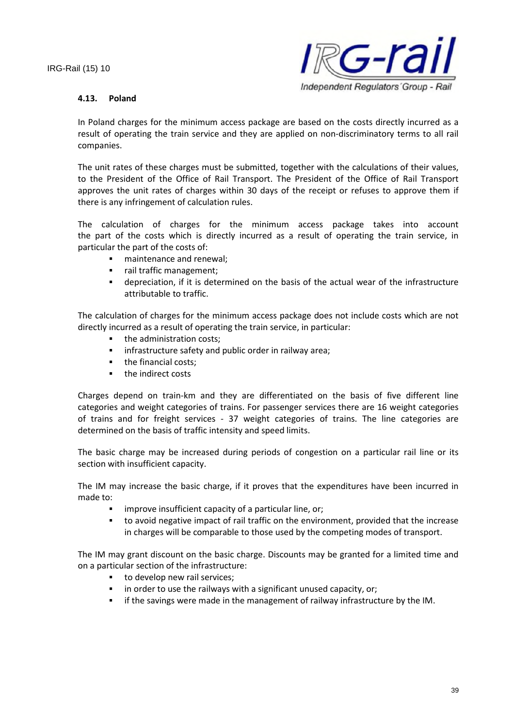

#### **4.13. Poland**

In Poland charges for the minimum access package are based on the costs directly incurred as a result of operating the train service and they are applied on non-discriminatory terms to all rail companies.

The unit rates of these charges must be submitted, together with the calculations of their values, to the President of the Office of Rail Transport. The President of the Office of Rail Transport approves the unit rates of charges within 30 days of the receipt or refuses to approve them if there is any infringement of calculation rules.

The calculation of charges for the minimum access package takes into account the part of the costs which is directly incurred as a result of operating the train service, in particular the part of the costs of:

- maintenance and renewal;
- rail traffic management;
- depreciation, if it is determined on the basis of the actual wear of the infrastructure attributable to traffic.

The calculation of charges for the minimum access package does not include costs which are not directly incurred as a result of operating the train service, in particular:

- the administration costs;
- **EXED** infrastructure safety and public order in railway area;
- the financial costs;
- **the indirect costs**

Charges depend on train-km and they are differentiated on the basis of five different line categories and weight categories of trains. For passenger services there are 16 weight categories of trains and for freight services - 37 weight categories of trains. The line categories are determined on the basis of traffic intensity and speed limits.

The basic charge may be increased during periods of congestion on a particular rail line or its section with insufficient capacity.

The IM may increase the basic charge, if it proves that the expenditures have been incurred in made to:

- improve insufficient capacity of a particular line, or;
- to avoid negative impact of rail traffic on the environment, provided that the increase in charges will be comparable to those used by the competing modes of transport.

The IM may grant discount on the basic charge. Discounts may be granted for a limited time and on a particular section of the infrastructure:

- to develop new rail services;
- **i** in order to use the railways with a significant unused capacity, or;
- if the savings were made in the management of railway infrastructure by the IM.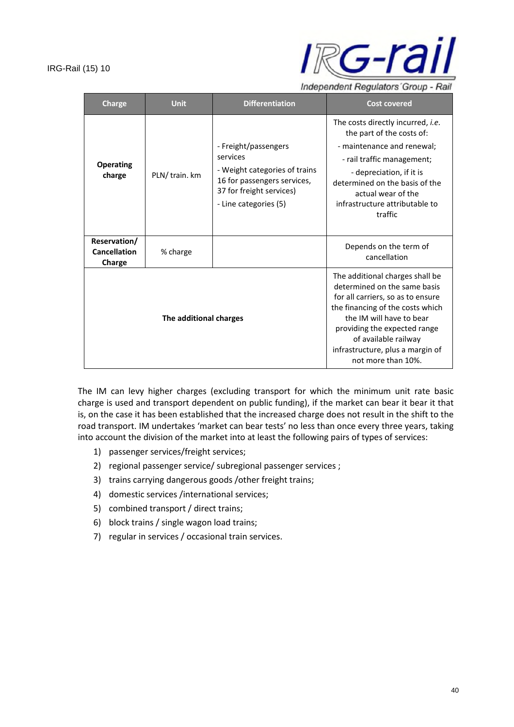

Independent Regulators' Group - Rail

| <b>Charge</b>                                 | <b>Unit</b>  | <b>Differentiation</b>                                                                                                                                | <b>Cost covered</b>                                                                                                                                                                                                                                                                    |
|-----------------------------------------------|--------------|-------------------------------------------------------------------------------------------------------------------------------------------------------|----------------------------------------------------------------------------------------------------------------------------------------------------------------------------------------------------------------------------------------------------------------------------------------|
| <b>Operating</b><br>charge                    | PLN/train.km | - Freight/passengers<br>services<br>- Weight categories of trains<br>16 for passengers services,<br>37 for freight services)<br>- Line categories (5) | The costs directly incurred, <i>i.e.</i><br>the part of the costs of:<br>- maintenance and renewal;<br>- rail traffic management;<br>- depreciation, if it is<br>determined on the basis of the<br>actual wear of the<br>infrastructure attributable to<br>traffic                     |
| Reservation/<br><b>Cancellation</b><br>Charge | % charge     |                                                                                                                                                       | Depends on the term of<br>cancellation                                                                                                                                                                                                                                                 |
| The additional charges                        |              |                                                                                                                                                       | The additional charges shall be<br>determined on the same basis<br>for all carriers, so as to ensure<br>the financing of the costs which<br>the IM will have to bear<br>providing the expected range<br>of available railway<br>infrastructure, plus a margin of<br>not more than 10%. |

The IM can levy higher charges (excluding transport for which the minimum unit rate basic charge is used and transport dependent on public funding), if the market can bear it bear it that is, on the case it has been established that the increased charge does not result in the shift to the road transport. IM undertakes 'market can bear tests' no less than once every three years, taking into account the division of the market into at least the following pairs of types of services:

- 1) passenger services/freight services;
- 2) regional passenger service/ subregional passenger services ;
- 3) trains carrying dangerous goods /other freight trains;
- 4) domestic services /international services;
- 5) combined transport / direct trains;
- 6) block trains / single wagon load trains;
- 7) regular in services / occasional train services.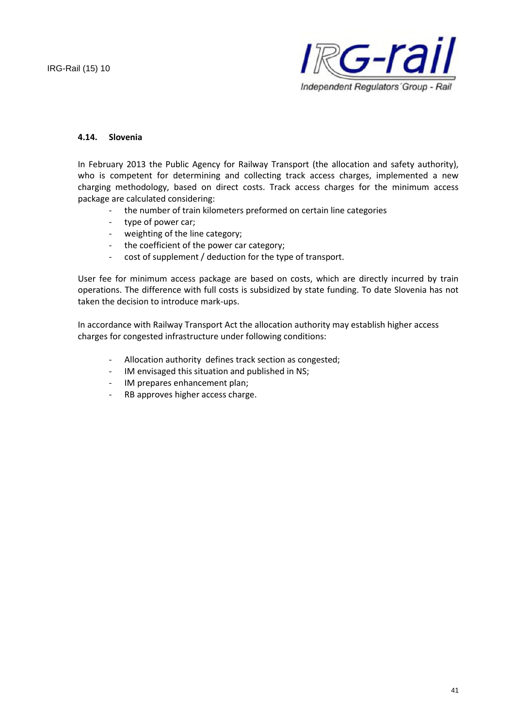

#### **4.14. Slovenia**

In February 2013 the Public Agency for Railway Transport (the allocation and safety authority), who is competent for determining and collecting track access charges, implemented a new charging methodology, based on direct costs. Track access charges for the minimum access package are calculated considering:

- the number of train kilometers preformed on certain line categories
- type of power car;
- weighting of the line category;
- the coefficient of the power car category;
- cost of supplement / deduction for the type of transport.

User fee for minimum access package are based on costs, which are directly incurred by train operations. The difference with full costs is subsidized by state funding. To date Slovenia has not taken the decision to introduce mark-ups.

In accordance with Railway Transport Act the allocation authority may establish higher access charges for congested infrastructure under following conditions:

- Allocation authority defines track section as congested;
- IM envisaged this situation and published in NS;
- IM prepares enhancement plan;
- RB approves higher access charge.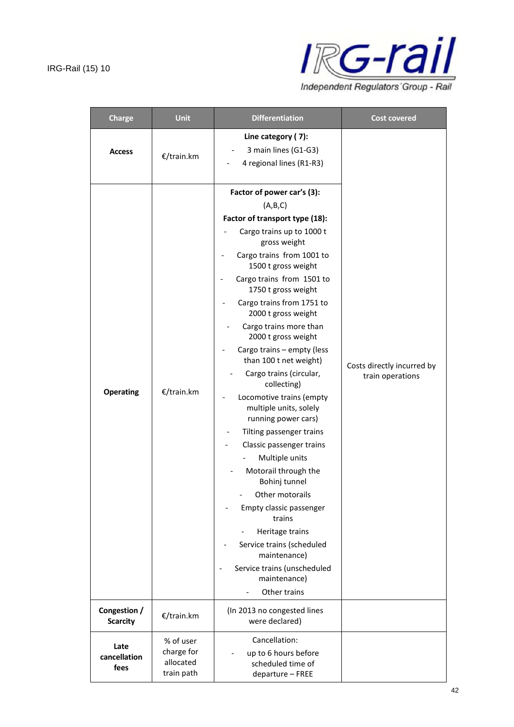

| <b>Charge</b>                   | <b>Unit</b>                                        | <b>Differentiation</b>                                                                                                                                                                                                                                                                                                                                                                                                                                                                                                                                                                                                                                                                                                                                                                                                     | <b>Cost covered</b>                            |
|---------------------------------|----------------------------------------------------|----------------------------------------------------------------------------------------------------------------------------------------------------------------------------------------------------------------------------------------------------------------------------------------------------------------------------------------------------------------------------------------------------------------------------------------------------------------------------------------------------------------------------------------------------------------------------------------------------------------------------------------------------------------------------------------------------------------------------------------------------------------------------------------------------------------------------|------------------------------------------------|
| <b>Access</b>                   | €/train.km                                         | Line category (7):<br>3 main lines (G1-G3)<br>4 regional lines (R1-R3)                                                                                                                                                                                                                                                                                                                                                                                                                                                                                                                                                                                                                                                                                                                                                     |                                                |
| <b>Operating</b>                | €/train.km                                         | Factor of power car's (3):<br>(A,B,C)<br>Factor of transport type (18):<br>Cargo trains up to 1000 t<br>gross weight<br>Cargo trains from 1001 to<br>1500 t gross weight<br>Cargo trains from 1501 to<br>1750 t gross weight<br>Cargo trains from 1751 to<br>2000 t gross weight<br>Cargo trains more than<br>2000 t gross weight<br>Cargo trains - empty (less<br>than 100 t net weight)<br>Cargo trains (circular,<br>collecting)<br>Locomotive trains (empty<br>multiple units, solely<br>running power cars)<br>Tilting passenger trains<br>Classic passenger trains<br>Multiple units<br>Motorail through the<br>Bohinj tunnel<br>Other motorails<br>Empty classic passenger<br>trains<br>Heritage trains<br>Service trains (scheduled<br>maintenance)<br>Service trains (unscheduled<br>maintenance)<br>Other trains | Costs directly incurred by<br>train operations |
| Congestion /<br><b>Scarcity</b> | €/train.km                                         | (In 2013 no congested lines<br>were declared)                                                                                                                                                                                                                                                                                                                                                                                                                                                                                                                                                                                                                                                                                                                                                                              |                                                |
| Late<br>cancellation<br>fees    | % of user<br>charge for<br>allocated<br>train path | Cancellation:<br>up to 6 hours before<br>scheduled time of<br>departure - FREE                                                                                                                                                                                                                                                                                                                                                                                                                                                                                                                                                                                                                                                                                                                                             |                                                |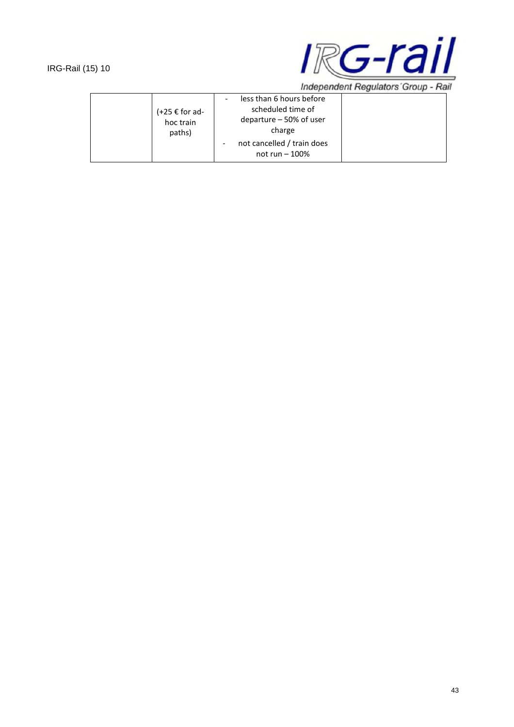

Independent Regulators' Group - Rail

| $(+25 \epsilon$ for ad-<br>hoc train<br>paths) | less than 6 hours before<br>$\overline{\phantom{a}}$<br>scheduled time of<br>departure $-50\%$ of user<br>charge |  |
|------------------------------------------------|------------------------------------------------------------------------------------------------------------------|--|
|                                                | not cancelled / train does<br>not run $-100\%$                                                                   |  |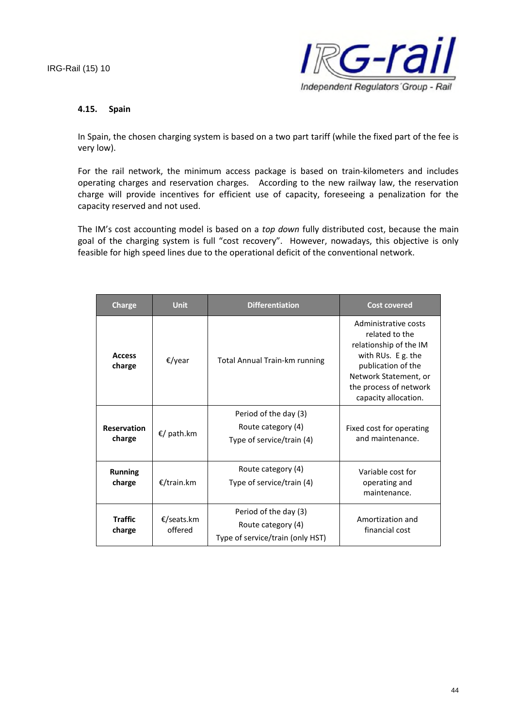

#### **4.15. Spain**

In Spain, the chosen charging system is based on a two part tariff (while the fixed part of the fee is very low).

For the rail network, the minimum access package is based on train-kilometers and includes operating charges and reservation charges. According to the new railway law, the reservation charge will provide incentives for efficient use of capacity, foreseeing a penalization for the capacity reserved and not used.

The IM's cost accounting model is based on a *top down* fully distributed cost, because the main goal of the charging system is full "cost recovery". However, nowadays, this objective is only feasible for high speed lines due to the operational deficit of the conventional network.

| Charge                       | <b>Unit</b>           | <b>Differentiation</b>                                                          | <b>Cost covered</b>                                                                                                                                                                     |
|------------------------------|-----------------------|---------------------------------------------------------------------------------|-----------------------------------------------------------------------------------------------------------------------------------------------------------------------------------------|
| <b>Access</b><br>charge      | €/year                | <b>Total Annual Train-km running</b>                                            | Administrative costs<br>related to the<br>relationship of the IM<br>with RUs. E g. the<br>publication of the<br>Network Statement, or<br>the process of network<br>capacity allocation. |
| <b>Reservation</b><br>charge | €/ path.km            | Period of the day (3)<br>Route category (4)<br>Type of service/train (4)        | Fixed cost for operating<br>and maintenance.                                                                                                                                            |
| <b>Running</b><br>charge     | €/train.km            | Route category (4)<br>Type of service/train (4)                                 | Variable cost for<br>operating and<br>maintenance.                                                                                                                                      |
| <b>Traffic</b><br>charge     | €/seats.km<br>offered | Period of the day (3)<br>Route category (4)<br>Type of service/train (only HST) | Amortization and<br>financial cost                                                                                                                                                      |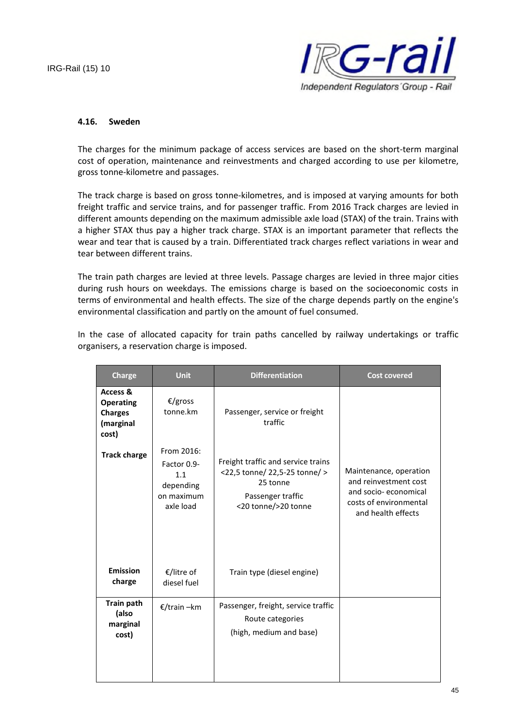

#### **4.16. Sweden**

The charges for the minimum package of access services are based on the short-term marginal cost of operation, maintenance and reinvestments and charged according to use per kilometre, gross tonne-kilometre and passages.

The track charge is based on gross tonne-kilometres, and is imposed at varying amounts for both freight traffic and service trains, and for passenger traffic. From 2016 Track charges are levied in different amounts depending on the maximum admissible axle load (STAX) of the train. Trains with a higher STAX thus pay a higher track charge. STAX is an important parameter that reflects the wear and tear that is caused by a train. Differentiated track charges reflect variations in wear and tear between different trains.

The train path charges are levied at three levels. Passage charges are levied in three major cities during rush hours on weekdays. The emissions charge is based on the socioeconomic costs in terms of environmental and health effects. The size of the charge depends partly on the engine's environmental classification and partly on the amount of fuel consumed.

In the case of allocated capacity for train paths cancelled by railway undertakings or traffic organisers, a reservation charge is imposed.

| <b>Charge</b>                                                        | <b>Unit</b>                                                              | <b>Differentiation</b>                                                                                                      | <b>Cost covered</b>                                                                                                     |
|----------------------------------------------------------------------|--------------------------------------------------------------------------|-----------------------------------------------------------------------------------------------------------------------------|-------------------------------------------------------------------------------------------------------------------------|
| Access &<br><b>Operating</b><br><b>Charges</b><br>(marginal<br>cost) | €/gross<br>tonne.km                                                      | Passenger, service or freight<br>traffic                                                                                    |                                                                                                                         |
| <b>Track charge</b>                                                  | From 2016:<br>Factor 0.9-<br>1.1<br>depending<br>on maximum<br>axle load | Freight traffic and service trains<br><22,5 tonne/ 22,5-25 tonne/ ><br>25 tonne<br>Passenger traffic<br><20 tonne/>20 tonne | Maintenance, operation<br>and reinvestment cost<br>and socio-economical<br>costs of environmental<br>and health effects |
| <b>Emission</b><br>charge                                            | €/litre of<br>diesel fuel                                                | Train type (diesel engine)                                                                                                  |                                                                                                                         |
| <b>Train path</b><br>(also<br>marginal<br>cost)                      | €/train –km                                                              | Passenger, freight, service traffic<br>Route categories<br>(high, medium and base)                                          |                                                                                                                         |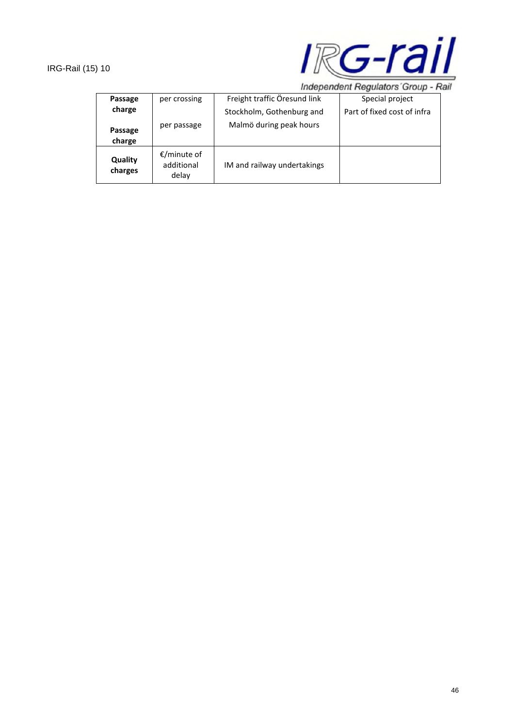

Independent Regulators' Group - Rail

| Passage            | per crossing                       | Freight traffic Öresund link | Special project             |
|--------------------|------------------------------------|------------------------------|-----------------------------|
| charge             |                                    | Stockholm, Gothenburg and    | Part of fixed cost of infra |
| Passage<br>charge  | per passage                        | Malmö during peak hours      |                             |
| Quality<br>charges | €/minute of<br>additional<br>delay | IM and railway undertakings  |                             |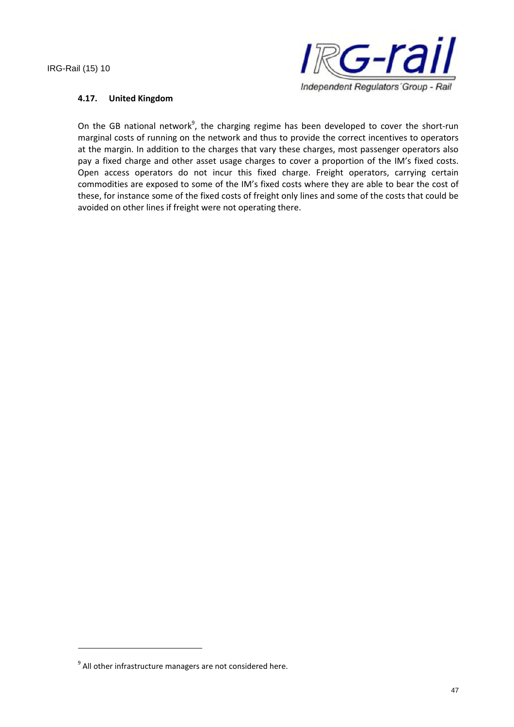

#### **4.17. United Kingdom**

On the GB national network<sup>9</sup>, the charging regime has been developed to cover the short-run marginal costs of running on the network and thus to provide the correct incentives to operators at the margin. In addition to the charges that vary these charges, most passenger operators also pay a fixed charge and other asset usage charges to cover a proportion of the IM's fixed costs. Open access operators do not incur this fixed charge. Freight operators, carrying certain commodities are exposed to some of the IM's fixed costs where they are able to bear the cost of these, for instance some of the fixed costs of freight only lines and some of the costs that could be avoided on other lines if freight were not operating there.

 $9$  All other infrastructure managers are not considered here.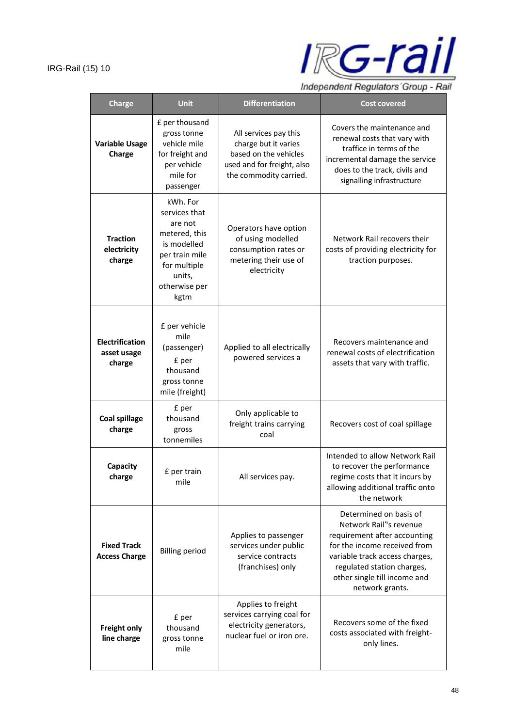

Independent Regulators' Group - Rail

| <b>Charge</b>                                   | <b>Unit</b>                                                                                                                               | <b>Differentiation</b>                                                                                                         | <b>Cost covered</b>                                                                                                                                                                                                                 |
|-------------------------------------------------|-------------------------------------------------------------------------------------------------------------------------------------------|--------------------------------------------------------------------------------------------------------------------------------|-------------------------------------------------------------------------------------------------------------------------------------------------------------------------------------------------------------------------------------|
| <b>Variable Usage</b><br>Charge                 | £ per thousand<br>gross tonne<br>vehicle mile<br>for freight and<br>per vehicle<br>mile for<br>passenger                                  | All services pay this<br>charge but it varies<br>based on the vehicles<br>used and for freight, also<br>the commodity carried. | Covers the maintenance and<br>renewal costs that vary with<br>traffice in terms of the<br>incremental damage the service<br>does to the track, civils and<br>signalling infrastructure                                              |
| <b>Traction</b><br>electricity<br>charge        | kWh. For<br>services that<br>are not<br>metered, this<br>is modelled<br>per train mile<br>for multiple<br>units,<br>otherwise per<br>kgtm | Operators have option<br>of using modelled<br>consumption rates or<br>metering their use of<br>electricity                     | Network Rail recovers their<br>costs of providing electricity for<br>traction purposes.                                                                                                                                             |
| <b>Electrification</b><br>asset usage<br>charge | £ per vehicle<br>mile<br>(passenger)<br>£ per<br>thousand<br>gross tonne<br>mile (freight)                                                | Applied to all electrically<br>powered services a                                                                              | Recovers maintenance and<br>renewal costs of electrification<br>assets that vary with traffic.                                                                                                                                      |
| <b>Coal spillage</b><br>charge                  | £ per<br>thousand<br>gross<br>tonnemiles                                                                                                  | Only applicable to<br>freight trains carrying<br>coal                                                                          | Recovers cost of coal spillage                                                                                                                                                                                                      |
| Capacity<br>charge                              | £ per train<br>mile                                                                                                                       | All services pay.                                                                                                              | Intended to allow Network Rail<br>to recover the performance<br>regime costs that it incurs by<br>allowing additional traffic onto<br>the network                                                                                   |
| <b>Fixed Track</b><br><b>Access Charge</b>      | <b>Billing period</b>                                                                                                                     | Applies to passenger<br>services under public<br>service contracts<br>(franchises) only                                        | Determined on basis of<br>Network Rail"s revenue<br>requirement after accounting<br>for the income received from<br>variable track access charges,<br>regulated station charges,<br>other single till income and<br>network grants. |
| Freight only<br>line charge                     | £ per<br>thousand<br>gross tonne<br>mile                                                                                                  | Applies to freight<br>services carrying coal for<br>electricity generators,<br>nuclear fuel or iron ore.                       | Recovers some of the fixed<br>costs associated with freight-<br>only lines.                                                                                                                                                         |